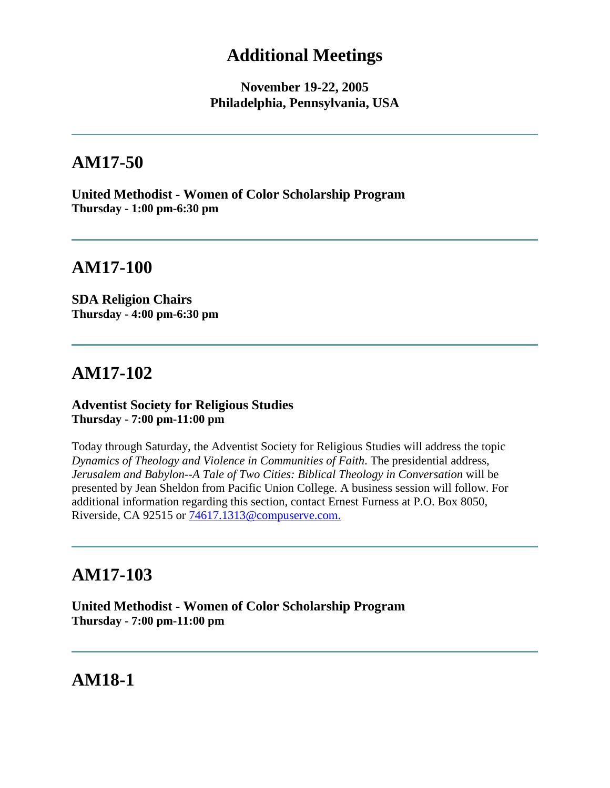## **Additional Meetings**

**November 19-22, 2005 Philadelphia, Pennsylvania, USA**

# **AM17-50**

**United Methodist - Women of Color Scholarship Program Thursday - 1:00 pm-6:30 pm**

# **AM17-100**

**SDA Religion Chairs Thursday - 4:00 pm-6:30 pm**

# **AM17-102**

#### **Adventist Society for Religious Studies Thursday - 7:00 pm-11:00 pm**

Today through Saturday, the Adventist Society for Religious Studies will address the topic *Dynamics of Theology and Violence in Communities of Faith*. The presidential address, *Jerusalem and Babylon--A Tale of Two Cities: Biblical Theology in Conversation* will be presented by Jean Sheldon from Pacific Union College. A business session will follow. For additional information regarding this section, contact Ernest Furness at P.O. Box 8050, Riverside, CA 92515 or [74617.1313@compuserve.com.](mailto:74617.1313@compuserve.com)

# **AM17-103**

**United Methodist - Women of Color Scholarship Program Thursday - 7:00 pm-11:00 pm**

**AM18-1**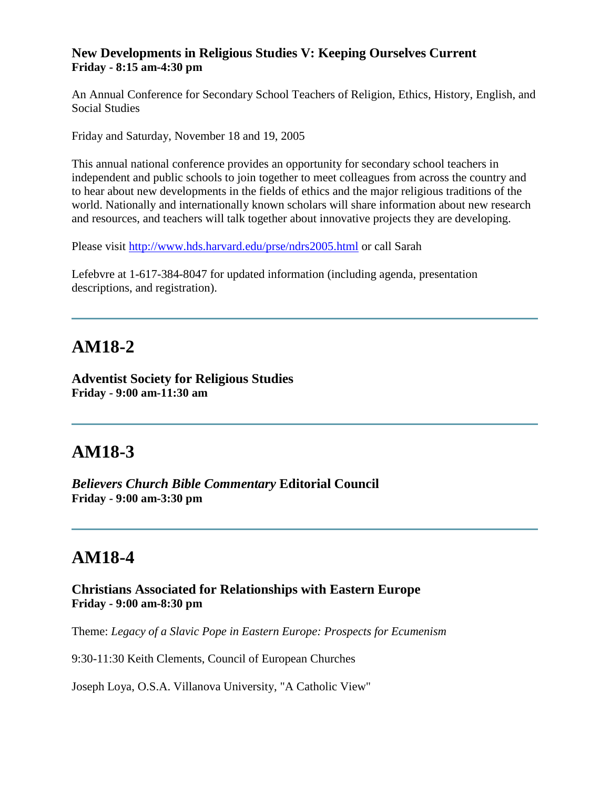#### **New Developments in Religious Studies V: Keeping Ourselves Current Friday - 8:15 am-4:30 pm**

An Annual Conference for Secondary School Teachers of Religion, Ethics, History, English, and Social Studies

Friday and Saturday, November 18 and 19, 2005

This annual national conference provides an opportunity for secondary school teachers in independent and public schools to join together to meet colleagues from across the country and to hear about new developments in the fields of ethics and the major religious traditions of the world. Nationally and internationally known scholars will share information about new research and resources, and teachers will talk together about innovative projects they are developing.

Please visit<http://www.hds.harvard.edu/prse/ndrs2005.html> or call Sarah

Lefebvre at 1-617-384-8047 for updated information (including agenda, presentation descriptions, and registration).

# **AM18-2**

**Adventist Society for Religious Studies Friday - 9:00 am-11:30 am**

# **AM18-3**

*Believers Church Bible Commentary* **Editorial Council Friday - 9:00 am-3:30 pm**

# **AM18-4**

**Christians Associated for Relationships with Eastern Europe Friday - 9:00 am-8:30 pm**

Theme: *Legacy of a Slavic Pope in Eastern Europe: Prospects for Ecumenism*

9:30-11:30 Keith Clements, Council of European Churches

Joseph Loya, O.S.A. Villanova University, "A Catholic View"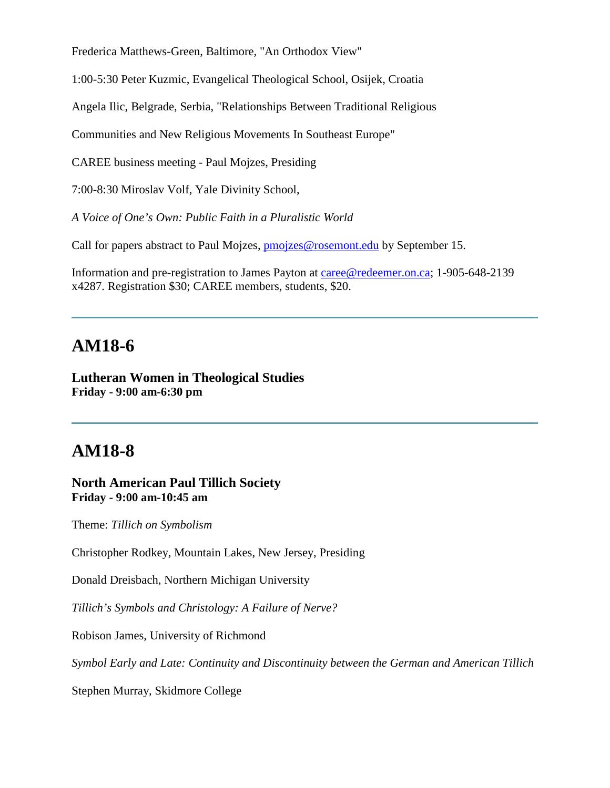Frederica Matthews-Green, Baltimore, "An Orthodox View"

1:00-5:30 Peter Kuzmic, Evangelical Theological School, Osijek, Croatia

Angela Ilic, Belgrade, Serbia, "Relationships Between Traditional Religious

Communities and New Religious Movements In Southeast Europe"

CAREE business meeting - Paul Mojzes, Presiding

7:00-8:30 Miroslav Volf, Yale Divinity School,

*A Voice of One's Own: Public Faith in a Pluralistic World*

Call for papers abstract to Paul Mojzes, **pmojzes@rosemont.edu** by September 15.

Information and pre-registration to James Payton at [caree@redeemer.on.ca;](mailto:caree@redeemer.on.ca) 1-905-648-2139 x4287. Registration \$30; CAREE members, students, \$20.

### **AM18-6**

**Lutheran Women in Theological Studies Friday - 9:00 am-6:30 pm**

### **AM18-8**

**North American Paul Tillich Society Friday - 9:00 am-10:45 am**

Theme: *Tillich on Symbolism*

Christopher Rodkey, Mountain Lakes, New Jersey, Presiding

Donald Dreisbach, Northern Michigan University

*Tillich's Symbols and Christology: A Failure of Nerve?*

Robison James, University of Richmond

*Symbol Early and Late: Continuity and Discontinuity between the German and American Tillich*

Stephen Murray, Skidmore College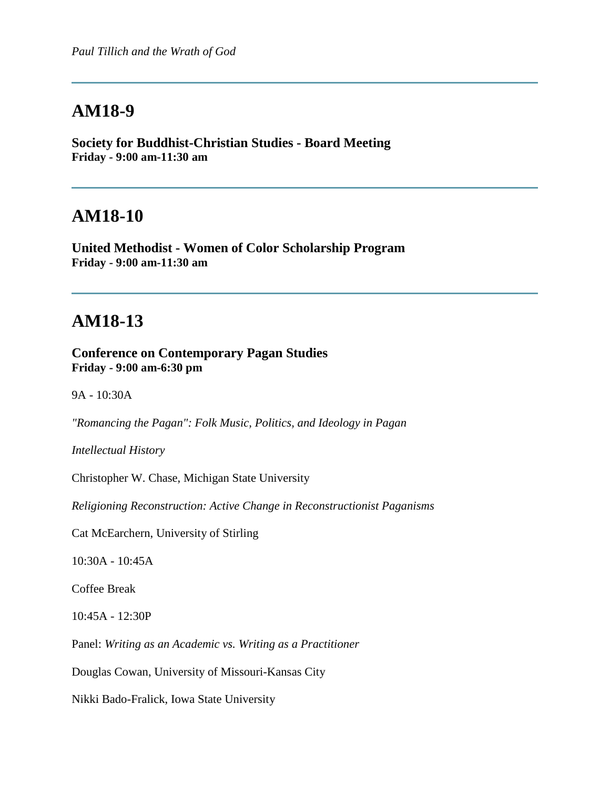**Society for Buddhist-Christian Studies - Board Meeting Friday - 9:00 am-11:30 am**

### **AM18-10**

**United Methodist - Women of Color Scholarship Program Friday - 9:00 am-11:30 am**

## **AM18-13**

**Conference on Contemporary Pagan Studies Friday - 9:00 am-6:30 pm**

9A - 10:30A

*"Romancing the Pagan": Folk Music, Politics, and Ideology in Pagan* 

*Intellectual History*

Christopher W. Chase, Michigan State University

*Religioning Reconstruction: Active Change in Reconstructionist Paganisms*

Cat McEarchern, University of Stirling

10:30A - 10:45A

Coffee Break

10:45A - 12:30P

Panel: *Writing as an Academic vs. Writing as a Practitioner*

Douglas Cowan, University of Missouri-Kansas City

Nikki Bado-Fralick, Iowa State University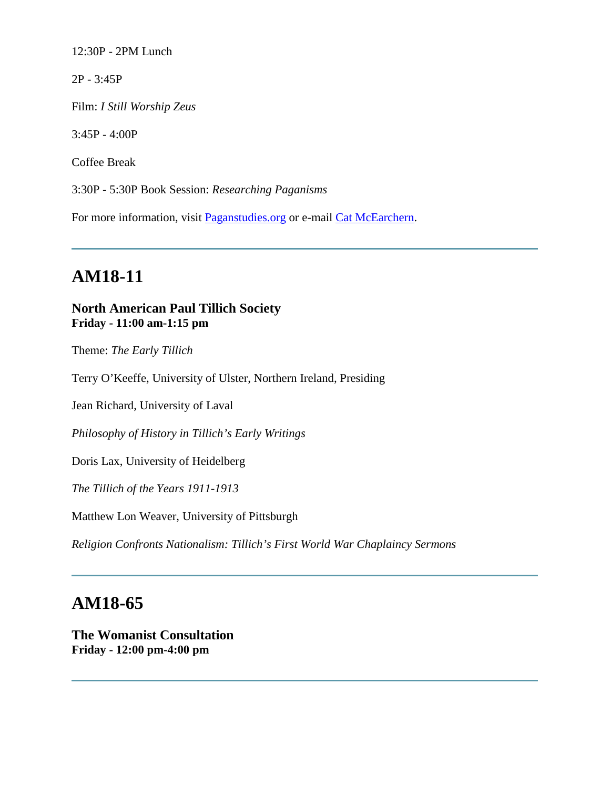12:30P - 2PM Lunch

2P - 3:45P

Film: *I Still Worship Zeus*

3:45P - 4:00P

Coffee Break

3:30P - 5:30P Book Session: *Researching Paganisms*

For more information, visit [Paganstudies.org](http://www.paganstudies.org/) or e-mail [Cat McEarchern.](mailto:cat@paganstudies.org)

# **AM18-11**

### **North American Paul Tillich Society Friday - 11:00 am-1:15 pm**

Theme: *The Early Tillich*

Terry O'Keeffe, University of Ulster, Northern Ireland, Presiding

Jean Richard, University of Laval

*Philosophy of History in Tillich's Early Writings*

Doris Lax, University of Heidelberg

*The Tillich of the Years 1911-1913*

Matthew Lon Weaver, University of Pittsburgh

*Religion Confronts Nationalism: Tillich's First World War Chaplaincy Sermons*

# **AM18-65**

**The Womanist Consultation Friday - 12:00 pm-4:00 pm**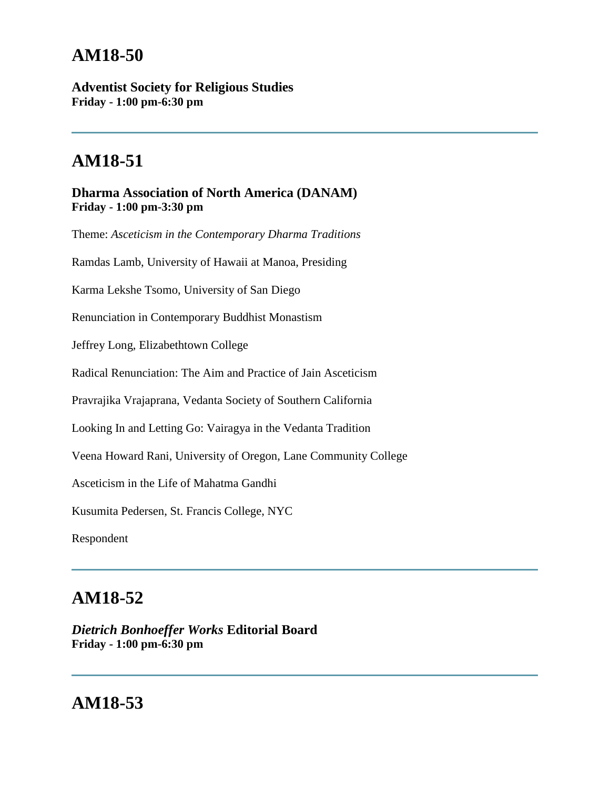**Adventist Society for Religious Studies Friday - 1:00 pm-6:30 pm**

# **AM18-51**

### **Dharma Association of North America (DANAM) Friday - 1:00 pm-3:30 pm**

Theme: *Asceticism in the Contemporary Dharma Traditions* Ramdas Lamb, University of Hawaii at Manoa, Presiding Karma Lekshe Tsomo, University of San Diego Renunciation in Contemporary Buddhist Monastism Jeffrey Long, Elizabethtown College Radical Renunciation: The Aim and Practice of Jain Asceticism Pravrajika Vrajaprana, Vedanta Society of Southern California Looking In and Letting Go: Vairagya in the Vedanta Tradition Veena Howard Rani, University of Oregon, Lane Community College Asceticism in the Life of Mahatma Gandhi Kusumita Pedersen, St. Francis College, NYC Respondent

# **AM18-52**

*Dietrich Bonhoeffer Works* **Editorial Board Friday - 1:00 pm-6:30 pm**

# **AM18-53**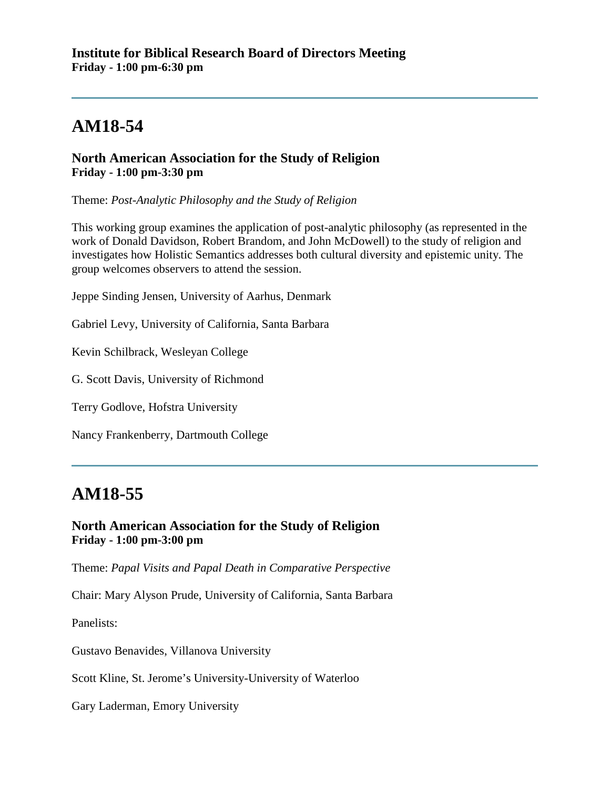### **North American Association for the Study of Religion Friday - 1:00 pm-3:30 pm**

Theme: *Post-Analytic Philosophy and the Study of Religion*

This working group examines the application of post-analytic philosophy (as represented in the work of Donald Davidson, Robert Brandom, and John McDowell) to the study of religion and investigates how Holistic Semantics addresses both cultural diversity and epistemic unity. The group welcomes observers to attend the session.

Jeppe Sinding Jensen, University of Aarhus, Denmark

Gabriel Levy, University of California, Santa Barbara

Kevin Schilbrack, Wesleyan College

G. Scott Davis, University of Richmond

Terry Godlove, Hofstra University

Nancy Frankenberry, Dartmouth College

# **AM18-55**

### **North American Association for the Study of Religion Friday - 1:00 pm-3:00 pm**

Theme: *Papal Visits and Papal Death in Comparative Perspective*

Chair: Mary Alyson Prude, University of California, Santa Barbara

Panelists:

Gustavo Benavides, Villanova University

Scott Kline, St. Jerome's University-University of Waterloo

Gary Laderman, Emory University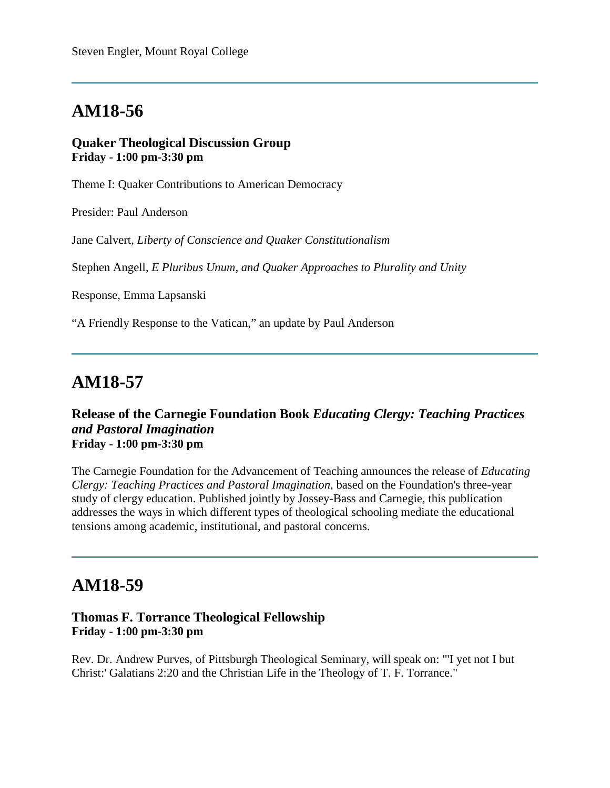#### **Quaker Theological Discussion Group Friday - 1:00 pm-3:30 pm**

Theme I: Quaker Contributions to American Democracy

Presider: Paul Anderson

Jane Calvert, *Liberty of Conscience and Quaker Constitutionalism*

Stephen Angell, *E Pluribus Unum, and Quaker Approaches to Plurality and Unity*

Response, Emma Lapsanski

"A Friendly Response to the Vatican," an update by Paul Anderson

## **AM18-57**

#### **Release of the Carnegie Foundation Book** *Educating Clergy: Teaching Practices and Pastoral Imagination* **Friday - 1:00 pm-3:30 pm**

The Carnegie Foundation for the Advancement of Teaching announces the release of *Educating Clergy: Teaching Practices and Pastoral Imagination*, based on the Foundation's three-year study of clergy education. Published jointly by Jossey-Bass and Carnegie, this publication addresses the ways in which different types of theological schooling mediate the educational tensions among academic, institutional, and pastoral concerns.

### **AM18-59**

### **Thomas F. Torrance Theological Fellowship Friday - 1:00 pm-3:30 pm**

Rev. Dr. Andrew Purves, of Pittsburgh Theological Seminary, will speak on: "'I yet not I but Christ:' Galatians 2:20 and the Christian Life in the Theology of T. F. Torrance."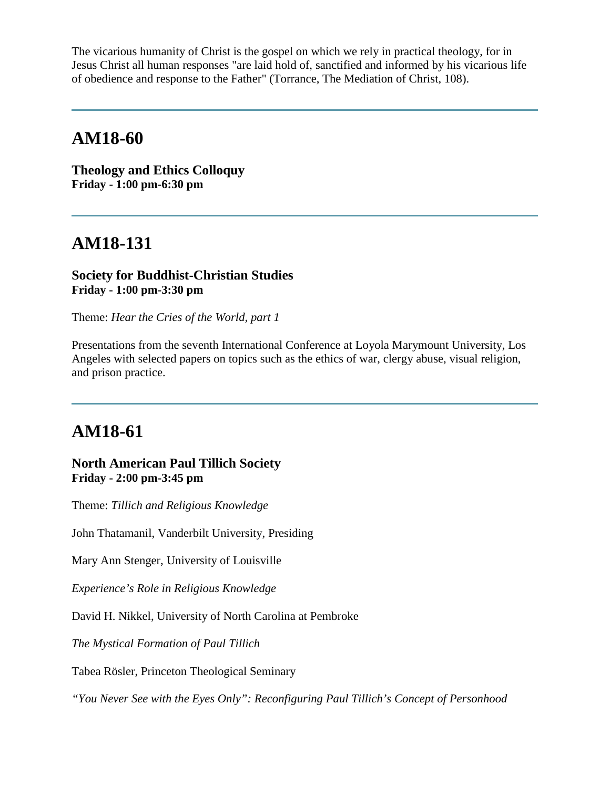The vicarious humanity of Christ is the gospel on which we rely in practical theology, for in Jesus Christ all human responses "are laid hold of, sanctified and informed by his vicarious life of obedience and response to the Father" (Torrance, The Mediation of Christ, 108).

## **AM18-60**

**Theology and Ethics Colloquy Friday - 1:00 pm-6:30 pm**

# **AM18-131**

### **Society for Buddhist-Christian Studies Friday - 1:00 pm-3:30 pm**

Theme: *Hear the Cries of the World, part 1*

Presentations from the seventh International Conference at Loyola Marymount University, Los Angeles with selected papers on topics such as the ethics of war, clergy abuse, visual religion, and prison practice.

# **AM18-61**

**North American Paul Tillich Society Friday - 2:00 pm-3:45 pm**

Theme: *Tillich and Religious Knowledge*

John Thatamanil, Vanderbilt University, Presiding

Mary Ann Stenger, University of Louisville

*Experience's Role in Religious Knowledge*

David H. Nikkel, University of North Carolina at Pembroke

*The Mystical Formation of Paul Tillich*

Tabea Rösler, Princeton Theological Seminary

*"You Never See with the Eyes Only": Reconfiguring Paul Tillich's Concept of Personhood*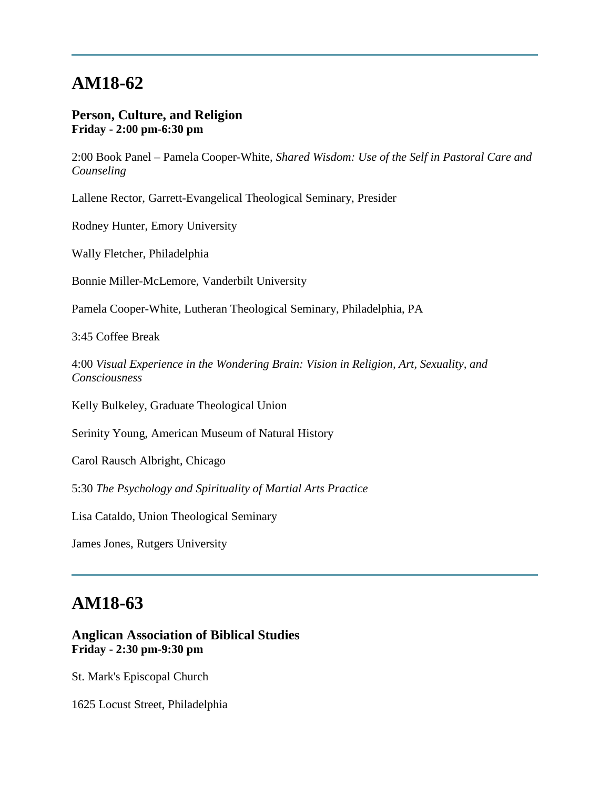#### **Person, Culture, and Religion Friday - 2:00 pm-6:30 pm**

2:00 Book Panel – Pamela Cooper-White, *Shared Wisdom: Use of the Self in Pastoral Care and Counseling*

Lallene Rector, Garrett-Evangelical Theological Seminary, Presider

Rodney Hunter, Emory University

Wally Fletcher, Philadelphia

Bonnie Miller-McLemore, Vanderbilt University

Pamela Cooper-White, Lutheran Theological Seminary, Philadelphia, PA

3:45 Coffee Break

4:00 *Visual Experience in the Wondering Brain: Vision in Religion, Art, Sexuality, and Consciousness*

Kelly Bulkeley, Graduate Theological Union

Serinity Young, American Museum of Natural History

Carol Rausch Albright, Chicago

5:30 *The Psychology and Spirituality of Martial Arts Practice*

Lisa Cataldo, Union Theological Seminary

James Jones, Rutgers University

# **AM18-63**

### **Anglican Association of Biblical Studies Friday - 2:30 pm-9:30 pm**

St. Mark's Episcopal Church

1625 Locust Street, Philadelphia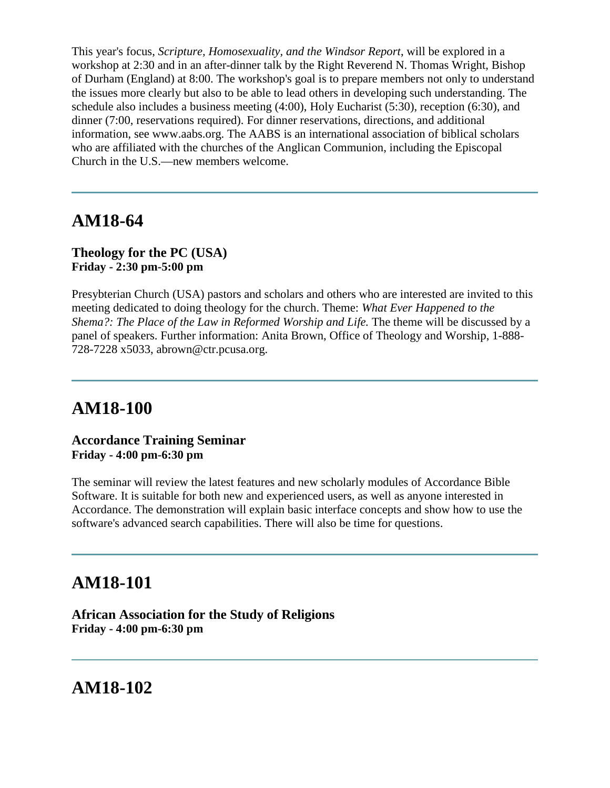This year's focus, *Scripture, Homosexuality, and the Windsor Report*, will be explored in a workshop at 2:30 and in an after-dinner talk by the Right Reverend N. Thomas Wright, Bishop of Durham (England) at 8:00. The workshop's goal is to prepare members not only to understand the issues more clearly but also to be able to lead others in developing such understanding. The schedule also includes a business meeting (4:00), Holy Eucharist (5:30), reception (6:30), and dinner (7:00, reservations required). For dinner reservations, directions, and additional information, see www.aabs.org. The AABS is an international association of biblical scholars who are affiliated with the churches of the Anglican Communion, including the Episcopal Church in the U.S.—new members welcome.

### **AM18-64**

#### **Theology for the PC (USA) Friday - 2:30 pm-5:00 pm**

Presybterian Church (USA) pastors and scholars and others who are interested are invited to this meeting dedicated to doing theology for the church. Theme: *What Ever Happened to the Shema?: The Place of the Law in Reformed Worship and Life.* The theme will be discussed by a panel of speakers. Further information: Anita Brown, Office of Theology and Worship, 1-888- 728-7228 x5033, abrown@ctr.pcusa.org.

# **AM18-100**

#### **Accordance Training Seminar Friday - 4:00 pm-6:30 pm**

The seminar will review the latest features and new scholarly modules of Accordance Bible Software. It is suitable for both new and experienced users, as well as anyone interested in Accordance. The demonstration will explain basic interface concepts and show how to use the software's advanced search capabilities. There will also be time for questions.

## **AM18-101**

**African Association for the Study of Religions Friday - 4:00 pm-6:30 pm**

**AM18-102**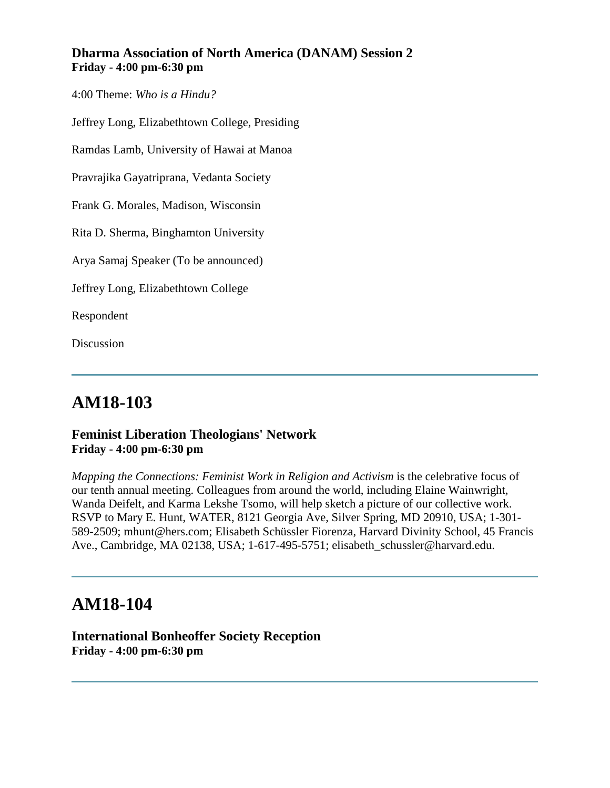### **Dharma Association of North America (DANAM) Session 2 Friday - 4:00 pm-6:30 pm**

4:00 Theme: *Who is a Hindu?*

Jeffrey Long, Elizabethtown College, Presiding

Ramdas Lamb, University of Hawai at Manoa

Pravrajika Gayatriprana, Vedanta Society

Frank G. Morales, Madison, Wisconsin

Rita D. Sherma, Binghamton University

Arya Samaj Speaker (To be announced)

Jeffrey Long, Elizabethtown College

Respondent

Discussion

# **AM18-103**

### **Feminist Liberation Theologians' Network Friday - 4:00 pm-6:30 pm**

*Mapping the Connections: Feminist Work in Religion and Activism* is the celebrative focus of our tenth annual meeting. Colleagues from around the world, including Elaine Wainwright, Wanda Deifelt, and Karma Lekshe Tsomo, will help sketch a picture of our collective work. RSVP to Mary E. Hunt, WATER, 8121 Georgia Ave, Silver Spring, MD 20910, USA; 1-301- 589-2509; mhunt@hers.com; Elisabeth Schüssler Fiorenza, Harvard Divinity School, 45 Francis Ave., Cambridge, MA 02138, USA; 1-617-495-5751; elisabeth\_schussler@harvard.edu.

# **AM18-104**

**International Bonheoffer Society Reception Friday - 4:00 pm-6:30 pm**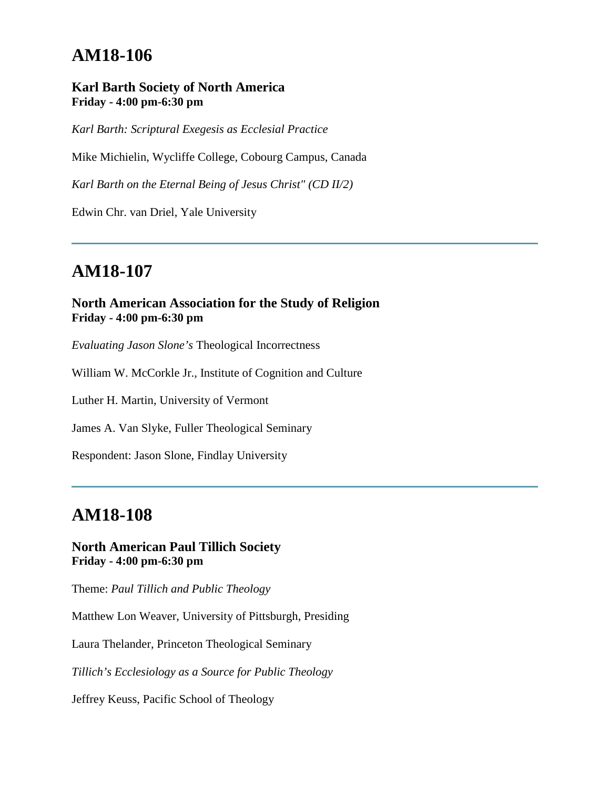### **Karl Barth Society of North America Friday - 4:00 pm-6:30 pm**

*Karl Barth: Scriptural Exegesis as Ecclesial Practice*

Mike Michielin, Wycliffe College, Cobourg Campus, Canada

*Karl Barth on the Eternal Being of Jesus Christ" (CD II/2)* 

Edwin Chr. van Driel, Yale University

# **AM18-107**

### **North American Association for the Study of Religion Friday - 4:00 pm-6:30 pm**

*Evaluating Jason Slone's* Theological Incorrectness

William W. McCorkle Jr., Institute of Cognition and Culture

Luther H. Martin, University of Vermont

James A. Van Slyke, Fuller Theological Seminary

Respondent: Jason Slone, Findlay University

### **AM18-108**

#### **North American Paul Tillich Society Friday - 4:00 pm-6:30 pm**

Theme: *Paul Tillich and Public Theology*

Matthew Lon Weaver, University of Pittsburgh, Presiding

Laura Thelander, Princeton Theological Seminary

*Tillich's Ecclesiology as a Source for Public Theology*

Jeffrey Keuss, Pacific School of Theology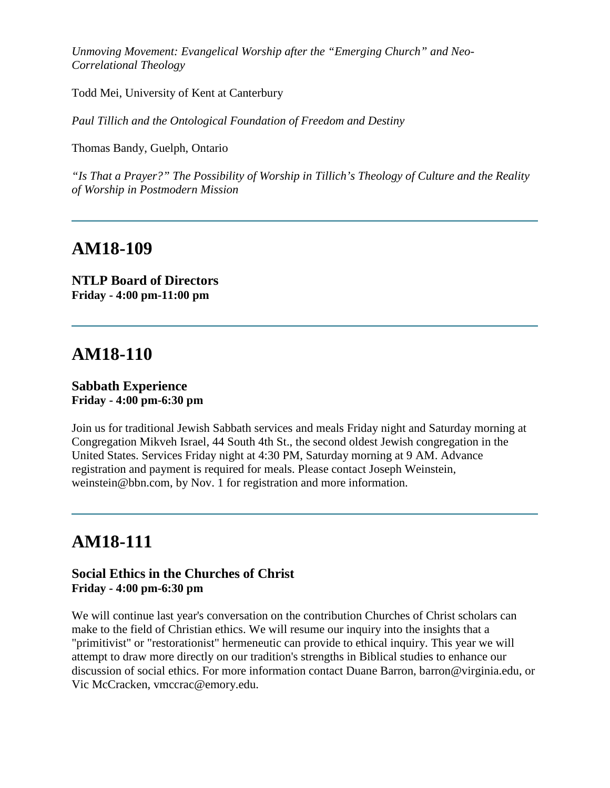*Unmoving Movement: Evangelical Worship after the "Emerging Church" and Neo-Correlational Theology*

Todd Mei, University of Kent at Canterbury

*Paul Tillich and the Ontological Foundation of Freedom and Destiny*

Thomas Bandy, Guelph, Ontario

*"Is That a Prayer?" The Possibility of Worship in Tillich's Theology of Culture and the Reality of Worship in Postmodern Mission*

### **AM18-109**

**NTLP Board of Directors Friday - 4:00 pm-11:00 pm**

# **AM18-110**

#### **Sabbath Experience Friday - 4:00 pm-6:30 pm**

Join us for traditional Jewish Sabbath services and meals Friday night and Saturday morning at Congregation Mikveh Israel, 44 South 4th St., the second oldest Jewish congregation in the United States. Services Friday night at 4:30 PM, Saturday morning at 9 AM. Advance registration and payment is required for meals. Please contact Joseph Weinstein, weinstein@bbn.com, by Nov. 1 for registration and more information.

# **AM18-111**

### **Social Ethics in the Churches of Christ Friday - 4:00 pm-6:30 pm**

We will continue last year's conversation on the contribution Churches of Christ scholars can make to the field of Christian ethics. We will resume our inquiry into the insights that a "primitivist" or "restorationist" hermeneutic can provide to ethical inquiry. This year we will attempt to draw more directly on our tradition's strengths in Biblical studies to enhance our discussion of social ethics. For more information contact Duane Barron, barron@virginia.edu, or Vic McCracken, vmccrac@emory.edu.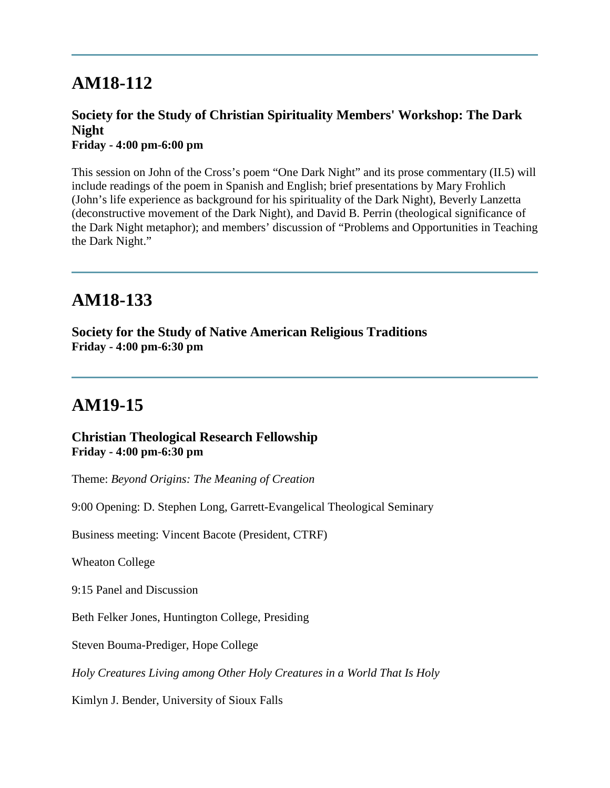### **Society for the Study of Christian Spirituality Members' Workshop: The Dark Night Friday - 4:00 pm-6:00 pm**

This session on John of the Cross's poem "One Dark Night" and its prose commentary (II.5) will include readings of the poem in Spanish and English; brief presentations by Mary Frohlich (John's life experience as background for his spirituality of the Dark Night), Beverly Lanzetta (deconstructive movement of the Dark Night), and David B. Perrin (theological significance of the Dark Night metaphor); and members' discussion of "Problems and Opportunities in Teaching the Dark Night."

# **AM18-133**

**Society for the Study of Native American Religious Traditions Friday - 4:00 pm-6:30 pm**

# **AM19-15**

**Christian Theological Research Fellowship Friday - 4:00 pm-6:30 pm**

Theme: *Beyond Origins: The Meaning of Creation*

9:00 Opening: D. Stephen Long, Garrett-Evangelical Theological Seminary

Business meeting: Vincent Bacote (President, CTRF)

Wheaton College

9:15 Panel and Discussion

Beth Felker Jones, Huntington College, Presiding

Steven Bouma-Prediger, Hope College

*Holy Creatures Living among Other Holy Creatures in a World That Is Holy*

Kimlyn J. Bender, University of Sioux Falls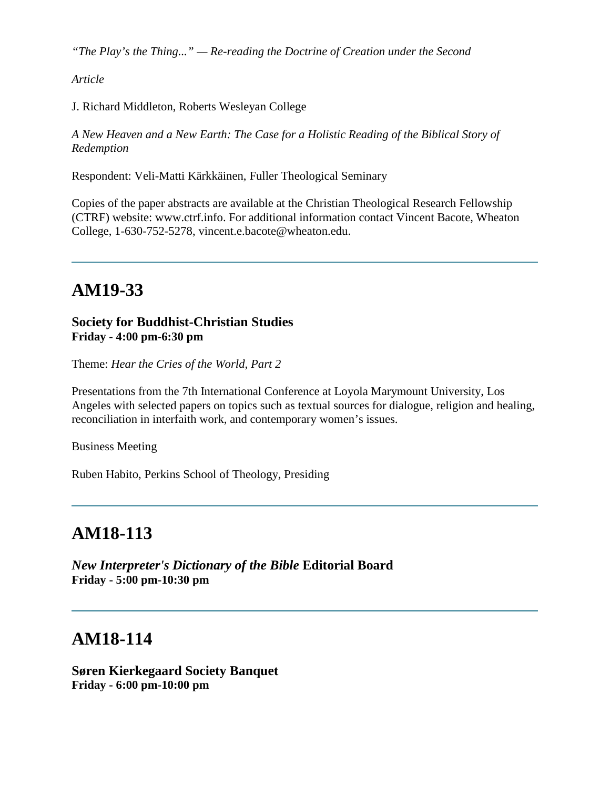*"The Play's the Thing..." — Re-reading the Doctrine of Creation under the Second* 

*Article*

J. Richard Middleton, Roberts Wesleyan College

*A New Heaven and a New Earth: The Case for a Holistic Reading of the Biblical Story of Redemption* 

Respondent: Veli-Matti Kärkkäinen, Fuller Theological Seminary

Copies of the paper abstracts are available at the Christian Theological Research Fellowship (CTRF) website: www.ctrf.info. For additional information contact Vincent Bacote, Wheaton College, 1-630-752-5278, vincent.e.bacote@wheaton.edu.

# **AM19-33**

### **Society for Buddhist-Christian Studies Friday - 4:00 pm-6:30 pm**

Theme: *Hear the Cries of the World, Part 2*

Presentations from the 7th International Conference at Loyola Marymount University, Los Angeles with selected papers on topics such as textual sources for dialogue, religion and healing, reconciliation in interfaith work, and contemporary women's issues.

Business Meeting

Ruben Habito, Perkins School of Theology, Presiding

# **AM18-113**

*New Interpreter's Dictionary of the Bible* **Editorial Board Friday - 5:00 pm-10:30 pm**

## **AM18-114**

**Søren Kierkegaard Society Banquet Friday - 6:00 pm-10:00 pm**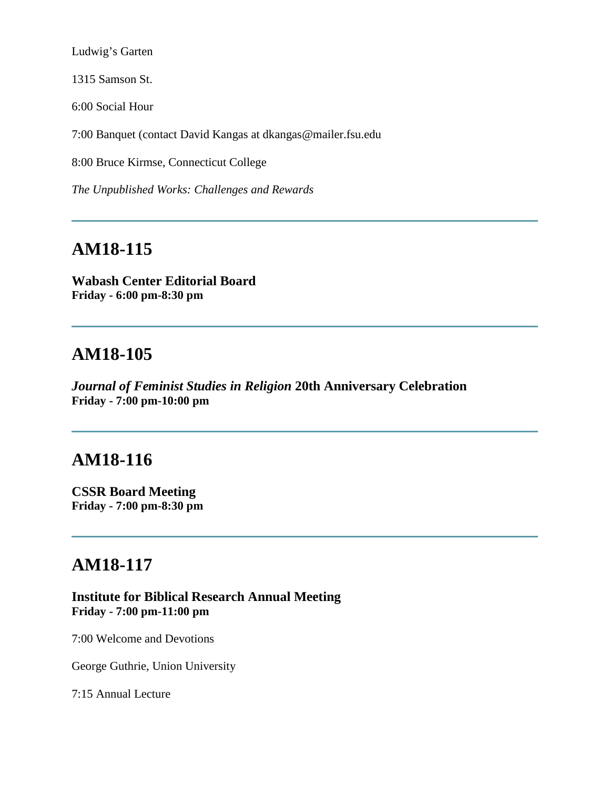Ludwig's Garten

1315 Samson St.

6:00 Social Hour

7:00 Banquet (contact David Kangas at dkangas@mailer.fsu.edu

8:00 Bruce Kirmse, Connecticut College

*The Unpublished Works: Challenges and Rewards*

# **AM18-115**

**Wabash Center Editorial Board Friday - 6:00 pm-8:30 pm**

### **AM18-105**

*Journal of Feminist Studies in Religion* **20th Anniversary Celebration Friday - 7:00 pm-10:00 pm**

### **AM18-116**

**CSSR Board Meeting Friday - 7:00 pm-8:30 pm**

## **AM18-117**

**Institute for Biblical Research Annual Meeting Friday - 7:00 pm-11:00 pm**

7:00 Welcome and Devotions

George Guthrie, Union University

7:15 Annual Lecture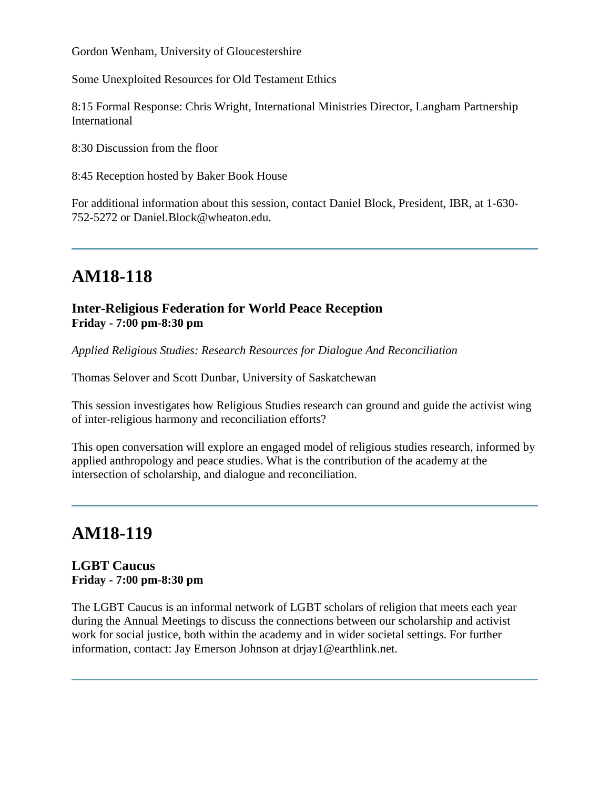Gordon Wenham, University of Gloucestershire

Some Unexploited Resources for Old Testament Ethics

8:15 Formal Response: Chris Wright, International Ministries Director, Langham Partnership International

8:30 Discussion from the floor

8:45 Reception hosted by Baker Book House

For additional information about this session, contact Daniel Block, President, IBR, at 1-630- 752-5272 or Daniel.Block@wheaton.edu.

# **AM18-118**

### **Inter-Religious Federation for World Peace Reception Friday - 7:00 pm-8:30 pm**

*Applied Religious Studies: Research Resources for Dialogue And Reconciliation*

Thomas Selover and Scott Dunbar, University of Saskatchewan

This session investigates how Religious Studies research can ground and guide the activist wing of inter-religious harmony and reconciliation efforts?

This open conversation will explore an engaged model of religious studies research, informed by applied anthropology and peace studies. What is the contribution of the academy at the intersection of scholarship, and dialogue and reconciliation.

# **AM18-119**

### **LGBT Caucus Friday - 7:00 pm-8:30 pm**

The LGBT Caucus is an informal network of LGBT scholars of religion that meets each year during the Annual Meetings to discuss the connections between our scholarship and activist work for social justice, both within the academy and in wider societal settings. For further information, contact: Jay Emerson Johnson at drjay1@earthlink.net.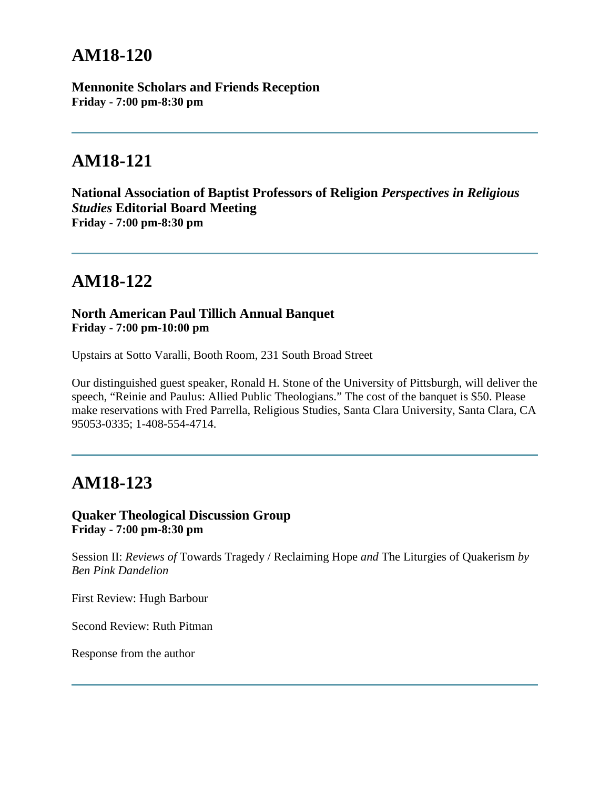**Mennonite Scholars and Friends Reception Friday - 7:00 pm-8:30 pm**

# **AM18-121**

**National Association of Baptist Professors of Religion** *Perspectives in Religious Studies* **Editorial Board Meeting Friday - 7:00 pm-8:30 pm**

# **AM18-122**

**North American Paul Tillich Annual Banquet Friday - 7:00 pm-10:00 pm**

Upstairs at Sotto Varalli, Booth Room, 231 South Broad Street

Our distinguished guest speaker, Ronald H. Stone of the University of Pittsburgh, will deliver the speech, "Reinie and Paulus: Allied Public Theologians." The cost of the banquet is \$50. Please make reservations with Fred Parrella, Religious Studies, Santa Clara University, Santa Clara, CA 95053-0335; 1-408-554-4714.

# **AM18-123**

### **Quaker Theological Discussion Group Friday - 7:00 pm-8:30 pm**

Session II: *Reviews of* Towards Tragedy / Reclaiming Hope *and* The Liturgies of Quakerism *by Ben Pink Dandelion*

First Review: Hugh Barbour

Second Review: Ruth Pitman

Response from the author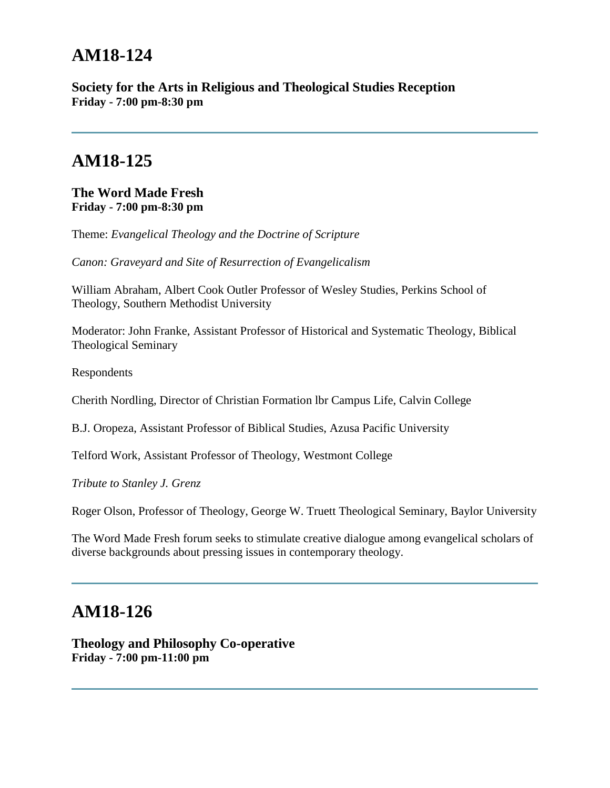**Society for the Arts in Religious and Theological Studies Reception Friday - 7:00 pm-8:30 pm**

# **AM18-125**

**The Word Made Fresh Friday - 7:00 pm-8:30 pm**

Theme: *Evangelical Theology and the Doctrine of Scripture* 

*Canon: Graveyard and Site of Resurrection of Evangelicalism*

William Abraham, Albert Cook Outler Professor of Wesley Studies, Perkins School of Theology, Southern Methodist University

Moderator: John Franke, Assistant Professor of Historical and Systematic Theology, Biblical Theological Seminary

Respondents

Cherith Nordling, Director of Christian Formation lbr Campus Life, Calvin College

B.J. Oropeza, Assistant Professor of Biblical Studies, Azusa Pacific University

Telford Work, Assistant Professor of Theology, Westmont College

*Tribute to Stanley J. Grenz* 

Roger Olson, Professor of Theology, George W. Truett Theological Seminary, Baylor University

The Word Made Fresh forum seeks to stimulate creative dialogue among evangelical scholars of diverse backgrounds about pressing issues in contemporary theology.

# **AM18-126**

**Theology and Philosophy Co-operative Friday - 7:00 pm-11:00 pm**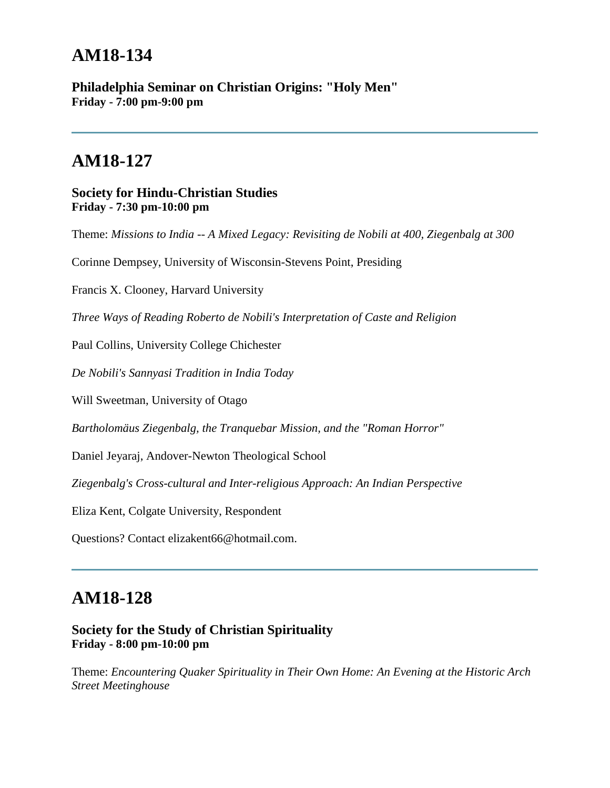**Philadelphia Seminar on Christian Origins: "Holy Men" Friday - 7:00 pm-9:00 pm**

# **AM18-127**

#### **Society for Hindu-Christian Studies Friday - 7:30 pm-10:00 pm**

Theme: *Missions to India -- A Mixed Legacy: Revisiting de Nobili at 400, Ziegenbalg at 300*

Corinne Dempsey, University of Wisconsin-Stevens Point, Presiding

Francis X. Clooney, Harvard University

*Three Ways of Reading Roberto de Nobili's Interpretation of Caste and Religion*

Paul Collins, University College Chichester

*De Nobili's Sannyasi Tradition in India Today*

Will Sweetman, University of Otago

*Bartholomäus Ziegenbalg, the Tranquebar Mission, and the "Roman Horror"*

Daniel Jeyaraj, Andover-Newton Theological School

*Ziegenbalg's Cross-cultural and Inter-religious Approach: An Indian Perspective*

Eliza Kent, Colgate University, Respondent

Questions? Contact elizakent66@hotmail.com.

### **AM18-128**

### **Society for the Study of Christian Spirituality Friday - 8:00 pm-10:00 pm**

Theme: *Encountering Quaker Spirituality in Their Own Home: An Evening at the Historic Arch Street Meetinghouse*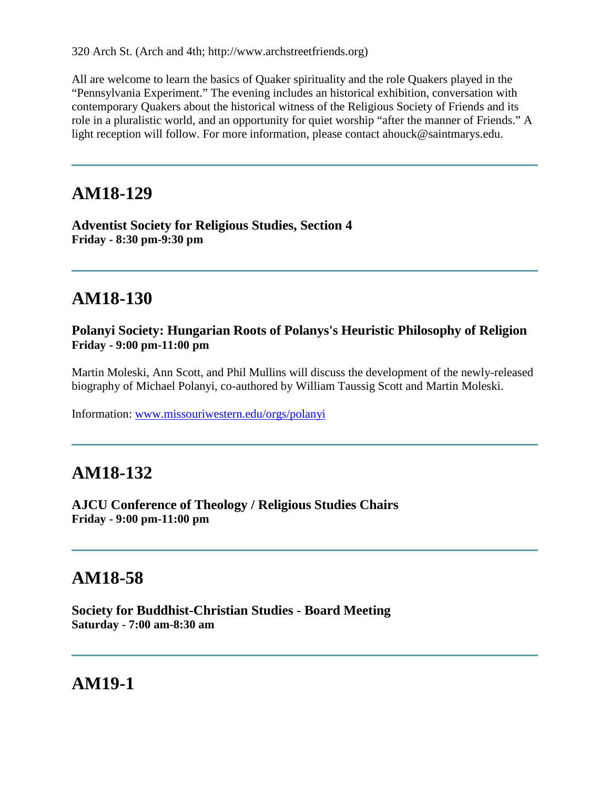320 Arch St. (Arch and 4th; http://www.archstreetfriends.org)

All are welcome to learn the basics of Quaker spirituality and the role Quakers played in the "Pennsylvania Experiment." The evening includes an historical exhibition, conversation with contemporary Quakers about the historical witness of the Religious Society of Friends and its role in a pluralistic world, and an opportunity for quiet worship "after the manner of Friends." A light reception will follow. For more information, please contact ahouck@saintmarys.edu.

# **AM18-129**

**Adventist Society for Religious Studies, Section 4 Friday - 8:30 pm-9:30 pm**

# **AM18-130**

### **Polanyi Society: Hungarian Roots of Polanys's Heuristic Philosophy of Religion Friday - 9:00 pm-11:00 pm**

Martin Moleski, Ann Scott, and Phil Mullins will discuss the development of the newly-released biography of Michael Polanyi, co-authored by William Taussig Scott and Martin Moleski.

Information: [www.missouriwestern.edu/orgs/polanyi](http://www.missouriwestern.edu/orgs/polanyi/)

# **AM18-132**

**AJCU Conference of Theology / Religious Studies Chairs Friday - 9:00 pm-11:00 pm**

# **AM18-58**

**Society for Buddhist-Christian Studies - Board Meeting Saturday - 7:00 am-8:30 am**

**AM19-1**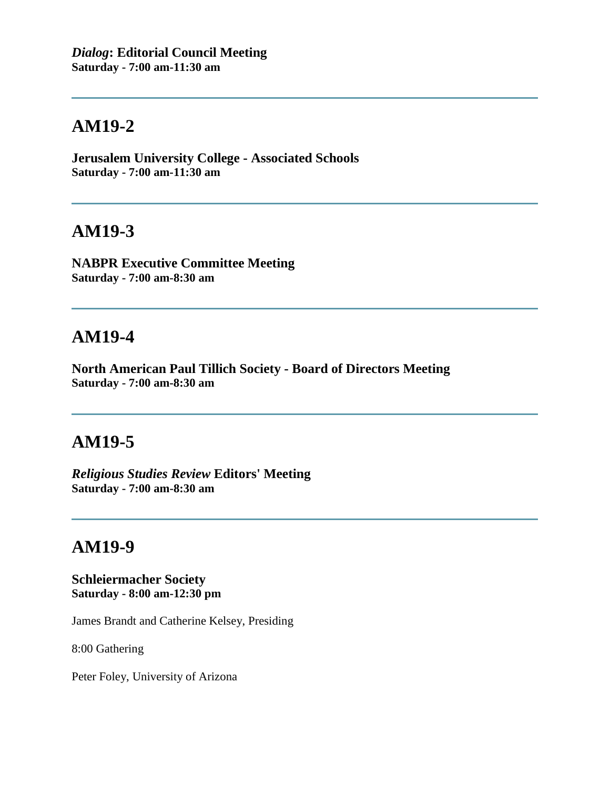**Jerusalem University College - Associated Schools Saturday - 7:00 am-11:30 am**

### **AM19-3**

**NABPR Executive Committee Meeting Saturday - 7:00 am-8:30 am**

## **AM19-4**

**North American Paul Tillich Society - Board of Directors Meeting Saturday - 7:00 am-8:30 am**

## **AM19-5**

*Religious Studies Review* **Editors' Meeting Saturday - 7:00 am-8:30 am**

# **AM19-9**

**Schleiermacher Society Saturday - 8:00 am-12:30 pm**

James Brandt and Catherine Kelsey, Presiding

8:00 Gathering

Peter Foley, University of Arizona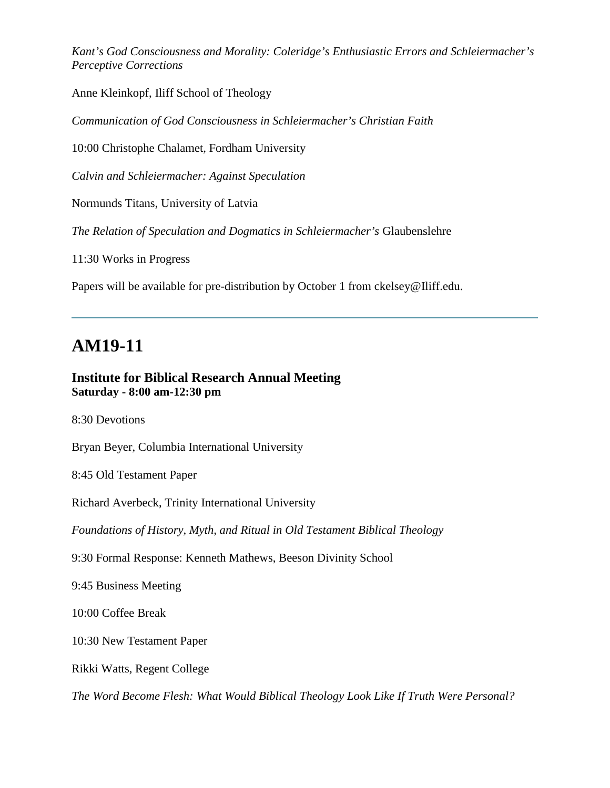*Kant's God Consciousness and Morality: Coleridge's Enthusiastic Errors and Schleiermacher's Perceptive Corrections*

Anne Kleinkopf, Iliff School of Theology

*Communication of God Consciousness in Schleiermacher's Christian Faith*

10:00 Christophe Chalamet, Fordham University

*Calvin and Schleiermacher: Against Speculation*

Normunds Titans, University of Latvia

*The Relation of Speculation and Dogmatics in Schleiermacher's* Glaubenslehre

11:30 Works in Progress

Papers will be available for pre-distribution by October 1 from ckelsey@Iliff.edu.

### **AM19-11**

#### **Institute for Biblical Research Annual Meeting Saturday - 8:00 am-12:30 pm**

8:30 Devotions

Bryan Beyer, Columbia International University

8:45 Old Testament Paper

Richard Averbeck, Trinity International University

*Foundations of History, Myth, and Ritual in Old Testament Biblical Theology*

9:30 Formal Response: Kenneth Mathews, Beeson Divinity School

9:45 Business Meeting

10:00 Coffee Break

10:30 New Testament Paper

Rikki Watts, Regent College

*The Word Become Flesh: What Would Biblical Theology Look Like If Truth Were Personal?*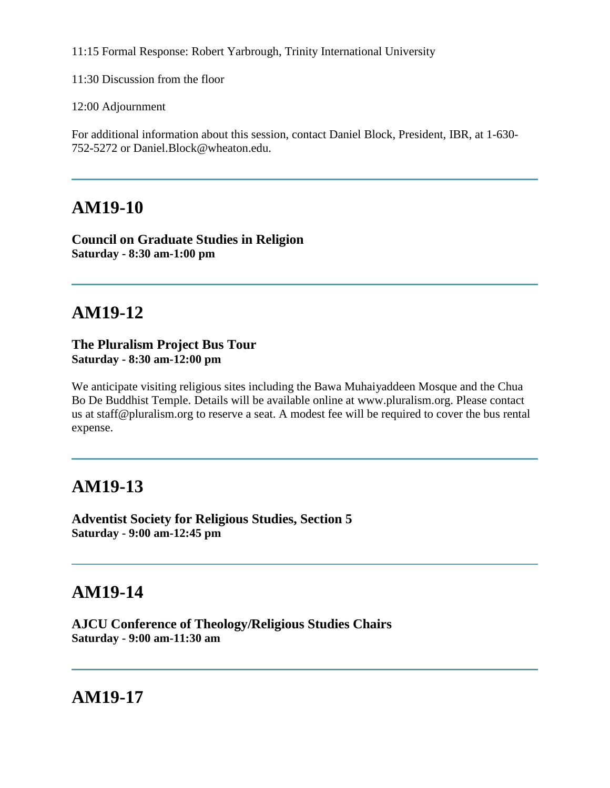11:15 Formal Response: Robert Yarbrough, Trinity International University

11:30 Discussion from the floor

12:00 Adjournment

For additional information about this session, contact Daniel Block, President, IBR, at 1-630- 752-5272 or Daniel.Block@wheaton.edu.

# **AM19-10**

**Council on Graduate Studies in Religion Saturday - 8:30 am-1:00 pm**

# **AM19-12**

#### **The Pluralism Project Bus Tour Saturday - 8:30 am-12:00 pm**

We anticipate visiting religious sites including the Bawa Muhaiyaddeen Mosque and the Chua Bo De Buddhist Temple. Details will be available online at www.pluralism.org. Please contact us at staff@pluralism.org to reserve a seat. A modest fee will be required to cover the bus rental expense.

# **AM19-13**

**Adventist Society for Religious Studies, Section 5 Saturday - 9:00 am-12:45 pm**

# **AM19-14**

**AJCU Conference of Theology/Religious Studies Chairs Saturday - 9:00 am-11:30 am**

# **AM19-17**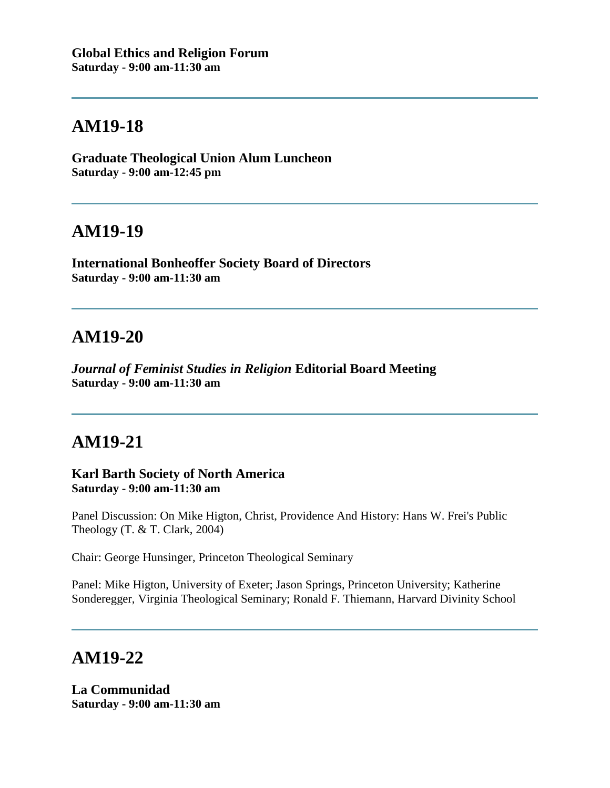**Graduate Theological Union Alum Luncheon Saturday - 9:00 am-12:45 pm**

### **AM19-19**

**International Bonheoffer Society Board of Directors Saturday - 9:00 am-11:30 am**

# **AM19-20**

*Journal of Feminist Studies in Religion* **Editorial Board Meeting Saturday - 9:00 am-11:30 am**

# **AM19-21**

**Karl Barth Society of North America Saturday - 9:00 am-11:30 am**

Panel Discussion: On Mike Higton, Christ, Providence And History: Hans W. Frei's Public Theology (T. & T. Clark, 2004)

Chair: George Hunsinger, Princeton Theological Seminary

Panel: Mike Higton, University of Exeter; Jason Springs, Princeton University; Katherine Sonderegger, Virginia Theological Seminary; Ronald F. Thiemann, Harvard Divinity School

### **AM19-22**

**La Communidad Saturday - 9:00 am-11:30 am**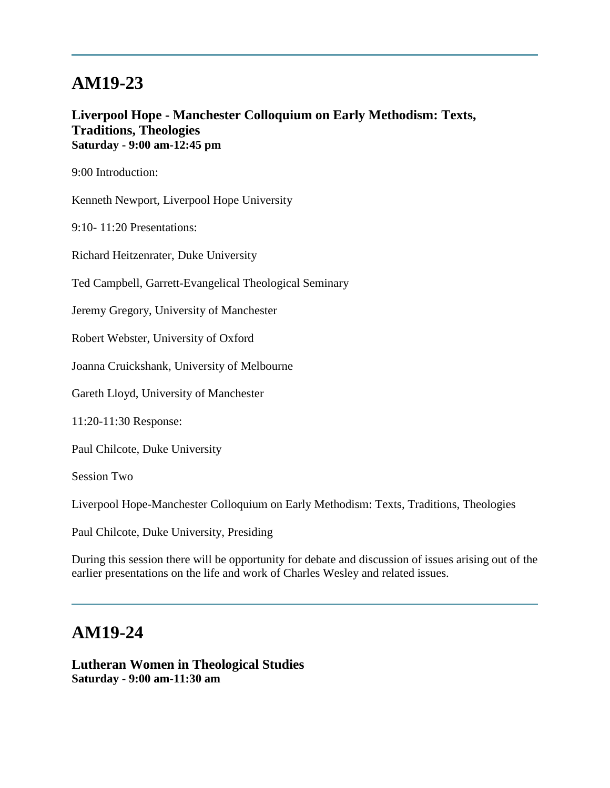### **Liverpool Hope - Manchester Colloquium on Early Methodism: Texts, Traditions, Theologies Saturday - 9:00 am-12:45 pm**

9:00 Introduction:

Kenneth Newport, Liverpool Hope University

9:10- 11:20 Presentations:

Richard Heitzenrater, Duke University

Ted Campbell, Garrett-Evangelical Theological Seminary

Jeremy Gregory, University of Manchester

Robert Webster, University of Oxford

Joanna Cruickshank, University of Melbourne

Gareth Lloyd, University of Manchester

11:20-11:30 Response:

Paul Chilcote, Duke University

Session Two

Liverpool Hope-Manchester Colloquium on Early Methodism: Texts, Traditions, Theologies

Paul Chilcote, Duke University, Presiding

During this session there will be opportunity for debate and discussion of issues arising out of the earlier presentations on the life and work of Charles Wesley and related issues.

## **AM19-24**

**Lutheran Women in Theological Studies Saturday - 9:00 am-11:30 am**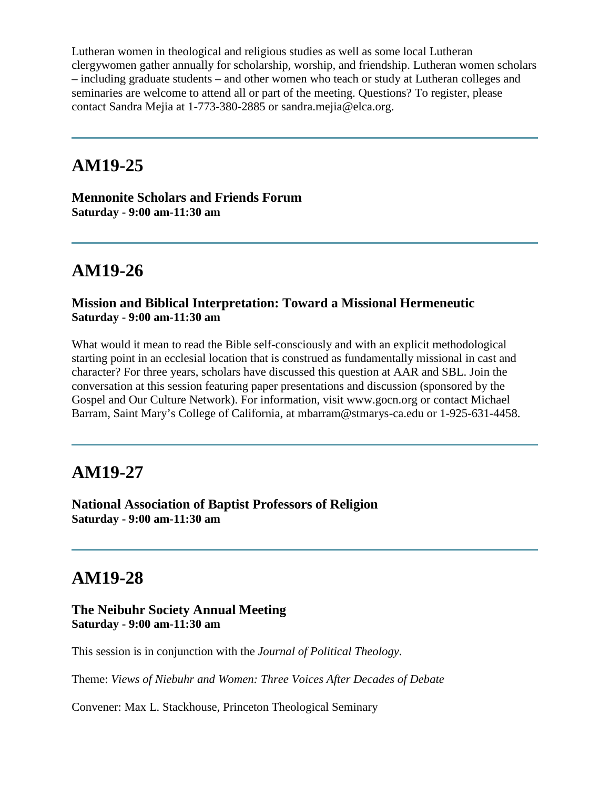Lutheran women in theological and religious studies as well as some local Lutheran clergywomen gather annually for scholarship, worship, and friendship. Lutheran women scholars – including graduate students – and other women who teach or study at Lutheran colleges and seminaries are welcome to attend all or part of the meeting. Questions? To register, please contact Sandra Mejia at 1-773-380-2885 or sandra.mejia@elca.org.

### **AM19-25**

**Mennonite Scholars and Friends Forum Saturday - 9:00 am-11:30 am**

# **AM19-26**

### **Mission and Biblical Interpretation: Toward a Missional Hermeneutic Saturday - 9:00 am-11:30 am**

What would it mean to read the Bible self-consciously and with an explicit methodological starting point in an ecclesial location that is construed as fundamentally missional in cast and character? For three years, scholars have discussed this question at AAR and SBL. Join the conversation at this session featuring paper presentations and discussion (sponsored by the Gospel and Our Culture Network). For information, visit www.gocn.org or contact Michael Barram, Saint Mary's College of California, at mbarram@stmarys-ca.edu or 1-925-631-4458.

### **AM19-27**

**National Association of Baptist Professors of Religion Saturday - 9:00 am-11:30 am**

# **AM19-28**

#### **The Neibuhr Society Annual Meeting Saturday - 9:00 am-11:30 am**

This session is in conjunction with the *Journal of Political Theology*.

Theme: *Views of Niebuhr and Women: Three Voices After Decades of Debate*

Convener: Max L. Stackhouse, Princeton Theological Seminary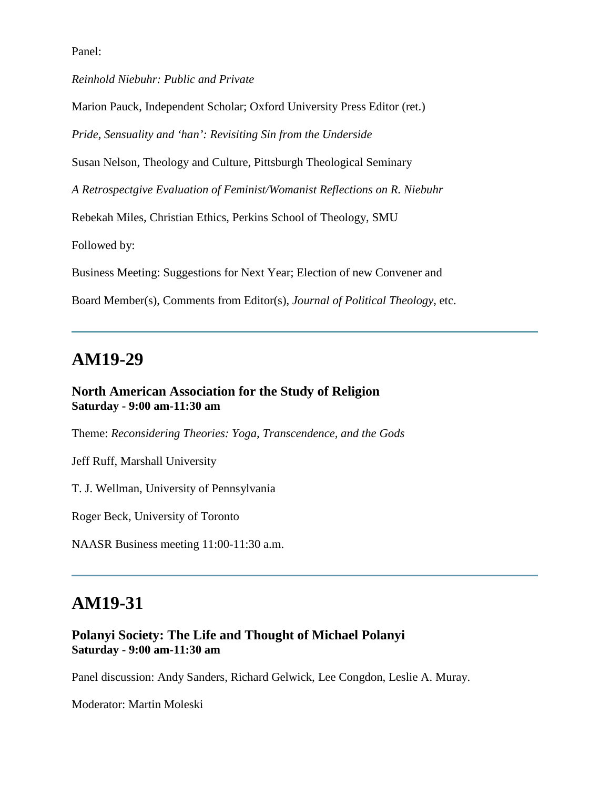Panel:

*Reinhold Niebuhr: Public and Private*

Marion Pauck, Independent Scholar; Oxford University Press Editor (ret.)

*Pride, Sensuality and 'han': Revisiting Sin from the Underside*

Susan Nelson, Theology and Culture, Pittsburgh Theological Seminary

*A Retrospectgive Evaluation of Feminist/Womanist Reflections on R. Niebuhr*

Rebekah Miles, Christian Ethics, Perkins School of Theology, SMU

Followed by:

Business Meeting: Suggestions for Next Year; Election of new Convener and

Board Member(s), Comments from Editor(s), *Journal of Political Theology*, etc.

### **AM19-29**

#### **North American Association for the Study of Religion Saturday - 9:00 am-11:30 am**

Theme: *Reconsidering Theories: Yoga, Transcendence, and the Gods*

Jeff Ruff, Marshall University

T. J. Wellman, University of Pennsylvania

Roger Beck, University of Toronto

NAASR Business meeting 11:00-11:30 a.m.

### **AM19-31**

### **Polanyi Society: The Life and Thought of Michael Polanyi Saturday - 9:00 am-11:30 am**

Panel discussion: Andy Sanders, Richard Gelwick, Lee Congdon, Leslie A. Muray.

Moderator: Martin Moleski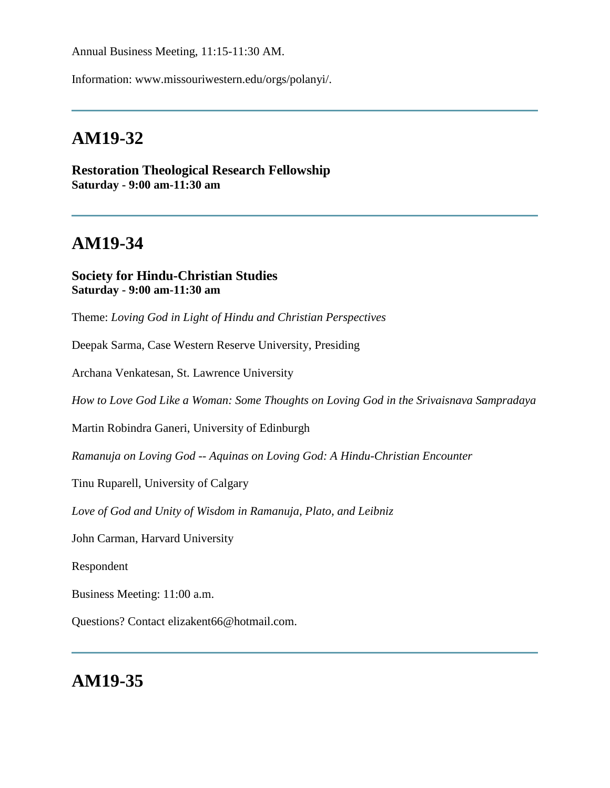Annual Business Meeting, 11:15-11:30 AM.

Information: www.missouriwestern.edu/orgs/polanyi/.

## **AM19-32**

**Restoration Theological Research Fellowship Saturday - 9:00 am-11:30 am**

# **AM19-34**

#### **Society for Hindu-Christian Studies Saturday - 9:00 am-11:30 am**

Theme: *Loving God in Light of Hindu and Christian Perspectives*

Deepak Sarma, Case Western Reserve University, Presiding

Archana Venkatesan, St. Lawrence University

*How to Love God Like a Woman: Some Thoughts on Loving God in the Srivaisnava Sampradaya*

Martin Robindra Ganeri, University of Edinburgh

*Ramanuja on Loving God -- Aquinas on Loving God: A Hindu-Christian Encounter*

Tinu Ruparell, University of Calgary

*Love of God and Unity of Wisdom in Ramanuja, Plato, and Leibniz*

John Carman, Harvard University

Respondent

Business Meeting: 11:00 a.m.

Questions? Contact elizakent66@hotmail.com.

## **AM19-35**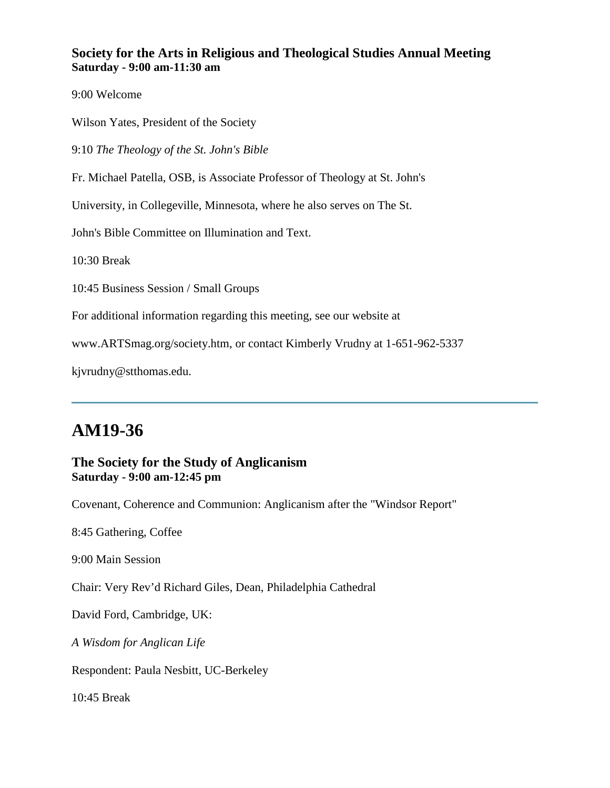### **Society for the Arts in Religious and Theological Studies Annual Meeting Saturday - 9:00 am-11:30 am**

9:00 Welcome

Wilson Yates, President of the Society

9:10 *The Theology of the St. John's Bible*

Fr. Michael Patella, OSB, is Associate Professor of Theology at St. John's

University, in Collegeville, Minnesota, where he also serves on The St.

John's Bible Committee on Illumination and Text.

10:30 Break

10:45 Business Session / Small Groups

For additional information regarding this meeting, see our website at

www.ARTSmag.org/society.htm, or contact Kimberly Vrudny at 1-651-962-5337

kjvrudny@stthomas.edu.

# **AM19-36**

#### **The Society for the Study of Anglicanism Saturday - 9:00 am-12:45 pm**

Covenant, Coherence and Communion: Anglicanism after the "Windsor Report"

8:45 Gathering, Coffee

9:00 Main Session

Chair: Very Rev'd Richard Giles, Dean, Philadelphia Cathedral

David Ford, Cambridge, UK:

*A Wisdom for Anglican Life*

Respondent: Paula Nesbitt, UC-Berkeley

10:45 Break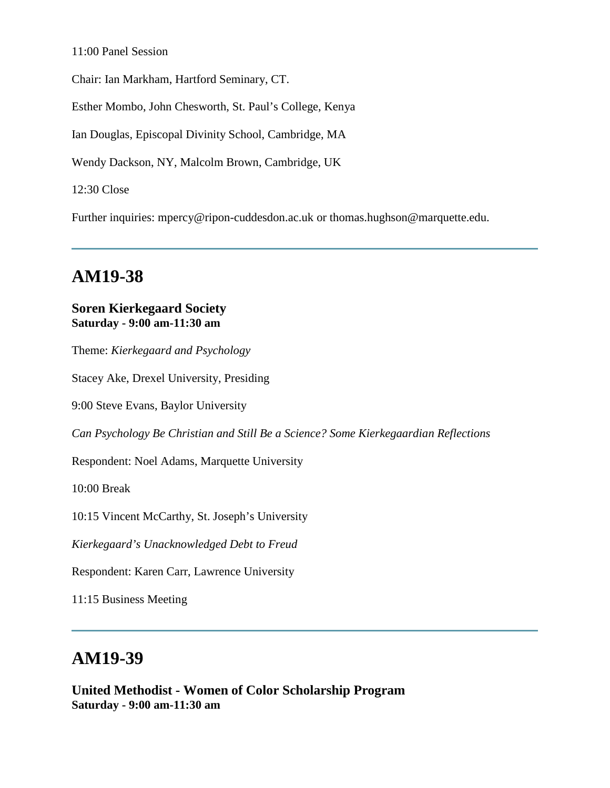#### 11:00 Panel Session

Chair: Ian Markham, Hartford Seminary, CT.

Esther Mombo, John Chesworth, St. Paul's College, Kenya

Ian Douglas, Episcopal Divinity School, Cambridge, MA

Wendy Dackson, NY, Malcolm Brown, Cambridge, UK

12:30 Close

Further inquiries: mpercy@ripon-cuddesdon.ac.uk or thomas.hughson@marquette.edu.

# **AM19-38**

#### **Soren Kierkegaard Society Saturday - 9:00 am-11:30 am**

Theme: *Kierkegaard and Psychology* 

Stacey Ake, Drexel University, Presiding

9:00 Steve Evans, Baylor University

*Can Psychology Be Christian and Still Be a Science? Some Kierkegaardian Reflections*

Respondent: Noel Adams, Marquette University

10:00 Break

10:15 Vincent McCarthy, St. Joseph's University

*Kierkegaard's Unacknowledged Debt to Freud*

Respondent: Karen Carr, Lawrence University

11:15 Business Meeting

# **AM19-39**

**United Methodist - Women of Color Scholarship Program Saturday - 9:00 am-11:30 am**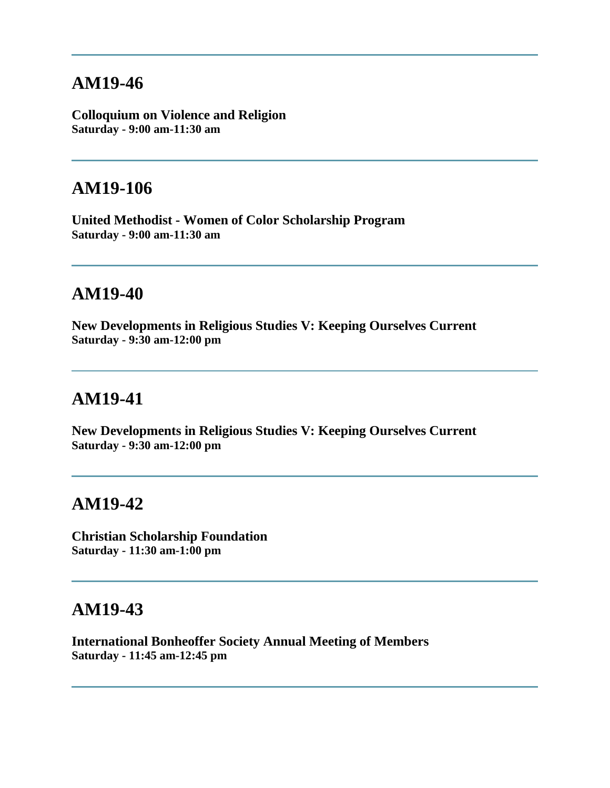**Colloquium on Violence and Religion Saturday - 9:00 am-11:30 am**

## **AM19-106**

**United Methodist - Women of Color Scholarship Program Saturday - 9:00 am-11:30 am**

# **AM19-40**

**New Developments in Religious Studies V: Keeping Ourselves Current Saturday - 9:30 am-12:00 pm**

# **AM19-41**

**New Developments in Religious Studies V: Keeping Ourselves Current Saturday - 9:30 am-12:00 pm**

# **AM19-42**

**Christian Scholarship Foundation Saturday - 11:30 am-1:00 pm**

### **AM19-43**

**International Bonheoffer Society Annual Meeting of Members Saturday - 11:45 am-12:45 pm**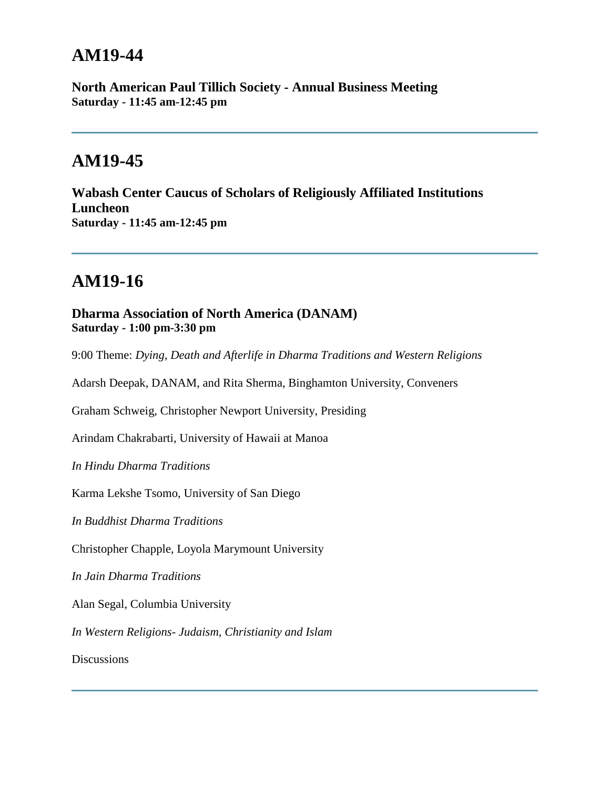**North American Paul Tillich Society - Annual Business Meeting Saturday - 11:45 am-12:45 pm**

## **AM19-45**

**Wabash Center Caucus of Scholars of Religiously Affiliated Institutions Luncheon Saturday - 11:45 am-12:45 pm**

# **AM19-16**

### **Dharma Association of North America (DANAM) Saturday - 1:00 pm-3:30 pm**

9:00 Theme: *Dying, Death and Afterlife in Dharma Traditions and Western Religions* 

Adarsh Deepak, DANAM, and Rita Sherma, Binghamton University, Conveners

Graham Schweig, Christopher Newport University, Presiding

Arindam Chakrabarti, University of Hawaii at Manoa

*In Hindu Dharma Traditions* 

Karma Lekshe Tsomo, University of San Diego

*In Buddhist Dharma Traditions*

Christopher Chapple, Loyola Marymount University

*In Jain Dharma Traditions*

Alan Segal, Columbia University

*In Western Religions- Judaism, Christianity and Islam*

**Discussions**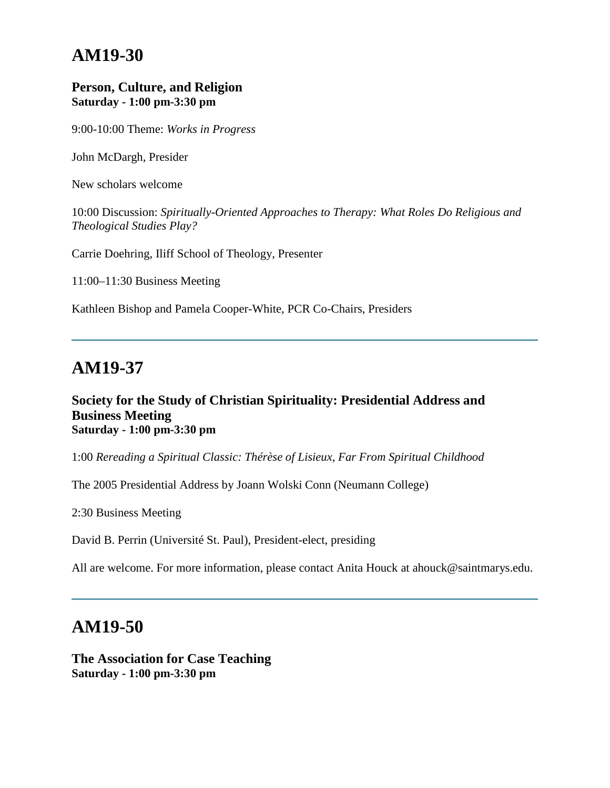#### **Person, Culture, and Religion Saturday - 1:00 pm-3:30 pm**

9:00-10:00 Theme: *Works in Progress*

John McDargh, Presider

New scholars welcome

10:00 Discussion: *Spiritually-Oriented Approaches to Therapy: What Roles Do Religious and Theological Studies Play?*

Carrie Doehring, Iliff School of Theology, Presenter

11:00–11:30 Business Meeting

Kathleen Bishop and Pamela Cooper-White, PCR Co-Chairs, Presiders

### **AM19-37**

#### **Society for the Study of Christian Spirituality: Presidential Address and Business Meeting Saturday - 1:00 pm-3:30 pm**

1:00 *Rereading a Spiritual Classic: Thérèse of Lisieux, Far From Spiritual Childhood*

The 2005 Presidential Address by Joann Wolski Conn (Neumann College)

2:30 Business Meeting

David B. Perrin (Université St. Paul), President-elect, presiding

All are welcome. For more information, please contact Anita Houck at ahouck@saintmarys.edu.

# **AM19-50**

**The Association for Case Teaching Saturday - 1:00 pm-3:30 pm**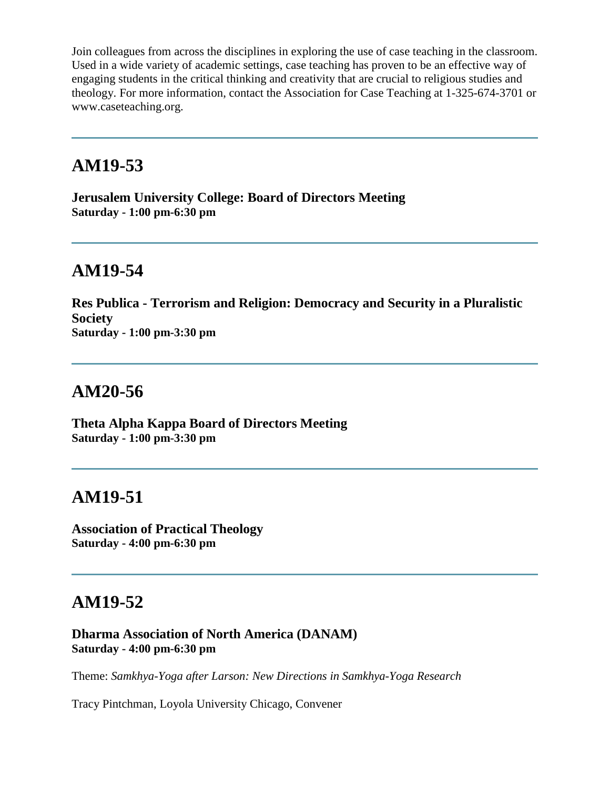Join colleagues from across the disciplines in exploring the use of case teaching in the classroom. Used in a wide variety of academic settings, case teaching has proven to be an effective way of engaging students in the critical thinking and creativity that are crucial to religious studies and theology. For more information, contact the Association for Case Teaching at 1-325-674-3701 or www.caseteaching.org.

## **AM19-53**

**Jerusalem University College: Board of Directors Meeting Saturday - 1:00 pm-6:30 pm**

# **AM19-54**

**Res Publica - Terrorism and Religion: Democracy and Security in a Pluralistic Society Saturday - 1:00 pm-3:30 pm**

# **AM20-56**

**Theta Alpha Kappa Board of Directors Meeting Saturday - 1:00 pm-3:30 pm**

# **AM19-51**

**Association of Practical Theology Saturday - 4:00 pm-6:30 pm**

# **AM19-52**

**Dharma Association of North America (DANAM) Saturday - 4:00 pm-6:30 pm**

Theme: *Samkhya-Yoga after Larson: New Directions in Samkhya-Yoga Research*

Tracy Pintchman, Loyola University Chicago, Convener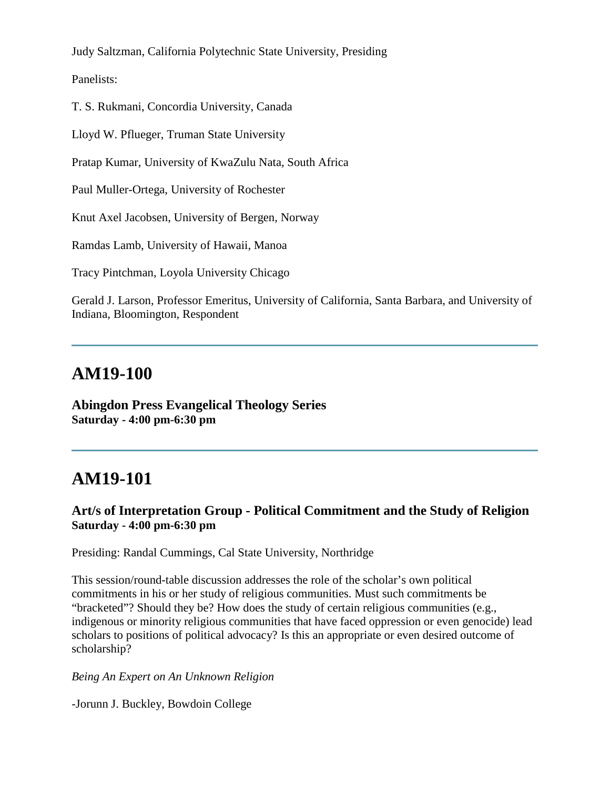Judy Saltzman, California Polytechnic State University, Presiding

Panelists:

T. S. Rukmani, Concordia University, Canada

Lloyd W. Pflueger, Truman State University

Pratap Kumar, University of KwaZulu Nata, South Africa

Paul Muller-Ortega, University of Rochester

Knut Axel Jacobsen, University of Bergen, Norway

Ramdas Lamb, University of Hawaii, Manoa

Tracy Pintchman, Loyola University Chicago

Gerald J. Larson, Professor Emeritus, University of California, Santa Barbara, and University of Indiana, Bloomington, Respondent

## **AM19-100**

**Abingdon Press Evangelical Theology Series Saturday - 4:00 pm-6:30 pm**

## **AM19-101**

### **Art/s of Interpretation Group - Political Commitment and the Study of Religion Saturday - 4:00 pm-6:30 pm**

Presiding: Randal Cummings, Cal State University, Northridge

This session/round-table discussion addresses the role of the scholar's own political commitments in his or her study of religious communities. Must such commitments be "bracketed"? Should they be? How does the study of certain religious communities (e.g., indigenous or minority religious communities that have faced oppression or even genocide) lead scholars to positions of political advocacy? Is this an appropriate or even desired outcome of scholarship?

#### *Being An Expert on An Unknown Religion*

-Jorunn J. Buckley, Bowdoin College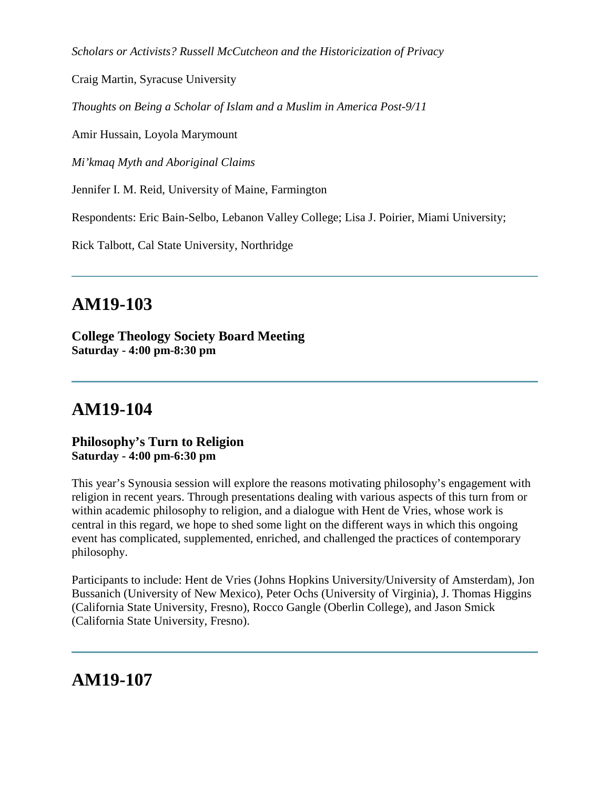*Scholars or Activists? Russell McCutcheon and the Historicization of Privacy*

Craig Martin, Syracuse University

*Thoughts on Being a Scholar of Islam and a Muslim in America Post-9/11*

Amir Hussain, Loyola Marymount

*Mi'kmaq Myth and Aboriginal Claims*

Jennifer I. M. Reid, University of Maine, Farmington

Respondents: Eric Bain-Selbo, Lebanon Valley College; Lisa J. Poirier, Miami University;

Rick Talbott, Cal State University, Northridge

# **AM19-103**

**College Theology Society Board Meeting Saturday - 4:00 pm-8:30 pm**

## **AM19-104**

**Philosophy's Turn to Religion Saturday - 4:00 pm-6:30 pm**

This year's Synousia session will explore the reasons motivating philosophy's engagement with religion in recent years. Through presentations dealing with various aspects of this turn from or within academic philosophy to religion, and a dialogue with Hent de Vries, whose work is central in this regard, we hope to shed some light on the different ways in which this ongoing event has complicated, supplemented, enriched, and challenged the practices of contemporary philosophy.

Participants to include: Hent de Vries (Johns Hopkins University/University of Amsterdam), Jon Bussanich (University of New Mexico), Peter Ochs (University of Virginia), J. Thomas Higgins (California State University, Fresno), Rocco Gangle (Oberlin College), and Jason Smick (California State University, Fresno).

**AM19-107**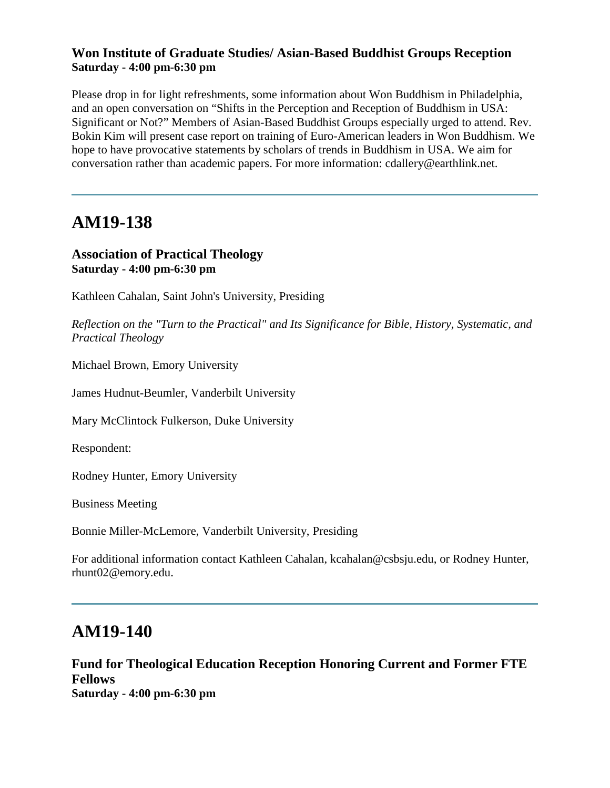### **Won Institute of Graduate Studies/ Asian-Based Buddhist Groups Reception Saturday - 4:00 pm-6:30 pm**

Please drop in for light refreshments, some information about Won Buddhism in Philadelphia, and an open conversation on "Shifts in the Perception and Reception of Buddhism in USA: Significant or Not?" Members of Asian-Based Buddhist Groups especially urged to attend. Rev. Bokin Kim will present case report on training of Euro-American leaders in Won Buddhism. We hope to have provocative statements by scholars of trends in Buddhism in USA. We aim for conversation rather than academic papers. For more information: cdallery@earthlink.net.

## **AM19-138**

### **Association of Practical Theology Saturday - 4:00 pm-6:30 pm**

Kathleen Cahalan, Saint John's University, Presiding

*Reflection on the "Turn to the Practical" and Its Significance for Bible, History, Systematic, and Practical Theology* 

Michael Brown, Emory University

James Hudnut-Beumler, Vanderbilt University

Mary McClintock Fulkerson, Duke University

Respondent:

Rodney Hunter, Emory University

Business Meeting

Bonnie Miller-McLemore, Vanderbilt University, Presiding

For additional information contact Kathleen Cahalan, kcahalan@csbsju.edu, or Rodney Hunter, rhunt02@emory.edu.

## **AM19-140**

**Fund for Theological Education Reception Honoring Current and Former FTE Fellows Saturday - 4:00 pm-6:30 pm**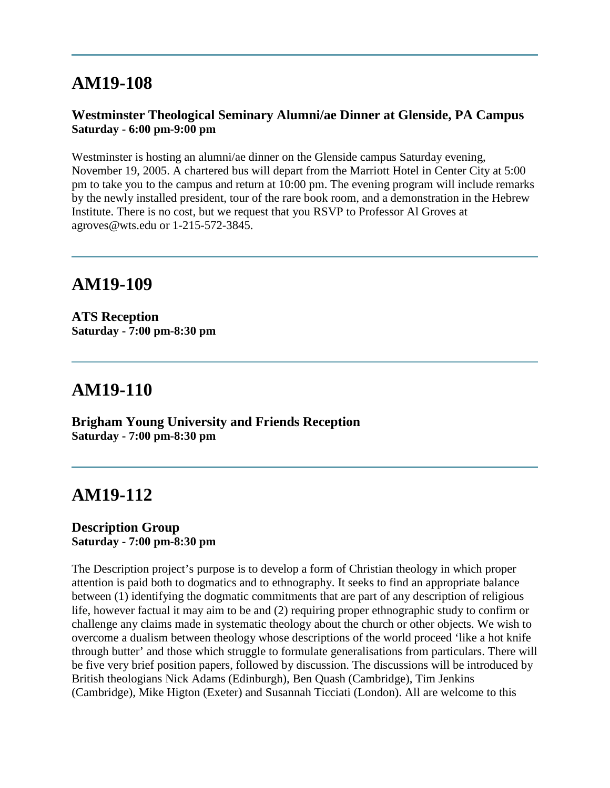# **AM19-108**

### **Westminster Theological Seminary Alumni/ae Dinner at Glenside, PA Campus Saturday - 6:00 pm-9:00 pm**

Westminster is hosting an alumni/ae dinner on the Glenside campus Saturday evening, November 19, 2005. A chartered bus will depart from the Marriott Hotel in Center City at 5:00 pm to take you to the campus and return at 10:00 pm. The evening program will include remarks by the newly installed president, tour of the rare book room, and a demonstration in the Hebrew Institute. There is no cost, but we request that you RSVP to Professor Al Groves at agroves@wts.edu or 1-215-572-3845.

## **AM19-109**

**ATS Reception Saturday - 7:00 pm-8:30 pm**

## **AM19-110**

**Brigham Young University and Friends Reception Saturday - 7:00 pm-8:30 pm**

# **AM19-112**

#### **Description Group Saturday - 7:00 pm-8:30 pm**

The Description project's purpose is to develop a form of Christian theology in which proper attention is paid both to dogmatics and to ethnography. It seeks to find an appropriate balance between (1) identifying the dogmatic commitments that are part of any description of religious life, however factual it may aim to be and (2) requiring proper ethnographic study to confirm or challenge any claims made in systematic theology about the church or other objects. We wish to overcome a dualism between theology whose descriptions of the world proceed 'like a hot knife through butter' and those which struggle to formulate generalisations from particulars. There will be five very brief position papers, followed by discussion. The discussions will be introduced by British theologians Nick Adams (Edinburgh), Ben Quash (Cambridge), Tim Jenkins (Cambridge), Mike Higton (Exeter) and Susannah Ticciati (London). All are welcome to this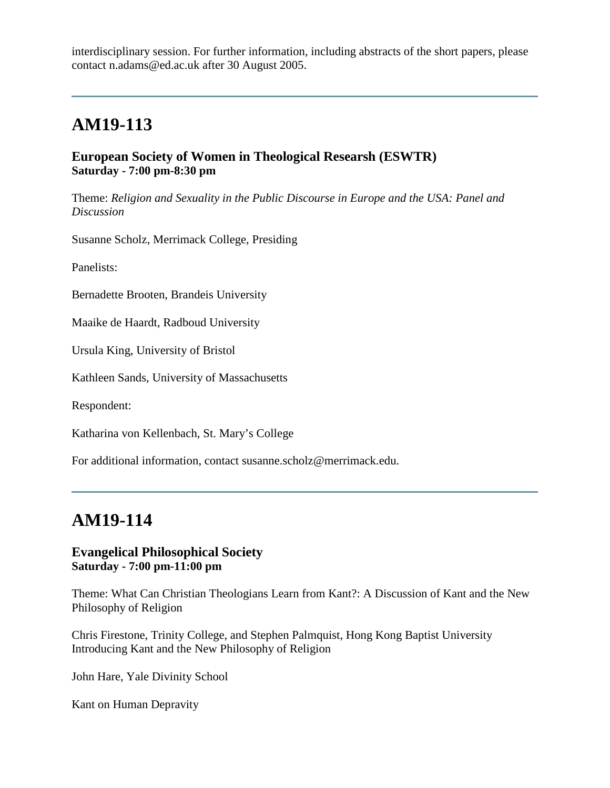interdisciplinary session. For further information, including abstracts of the short papers, please contact n.adams@ed.ac.uk after 30 August 2005.

# **AM19-113**

#### **European Society of Women in Theological Researsh (ESWTR) Saturday - 7:00 pm-8:30 pm**

Theme: *Religion and Sexuality in the Public Discourse in Europe and the USA: Panel and Discussion*

Susanne Scholz, Merrimack College, Presiding

Panelists:

Bernadette Brooten, Brandeis University

Maaike de Haardt, Radboud University

Ursula King, University of Bristol

Kathleen Sands, University of Massachusetts

Respondent:

Katharina von Kellenbach, St. Mary's College

For additional information, contact susanne.scholz@merrimack.edu.

# **AM19-114**

#### **Evangelical Philosophical Society Saturday - 7:00 pm-11:00 pm**

Theme: What Can Christian Theologians Learn from Kant?: A Discussion of Kant and the New Philosophy of Religion

Chris Firestone, Trinity College, and Stephen Palmquist, Hong Kong Baptist University Introducing Kant and the New Philosophy of Religion

John Hare, Yale Divinity School

Kant on Human Depravity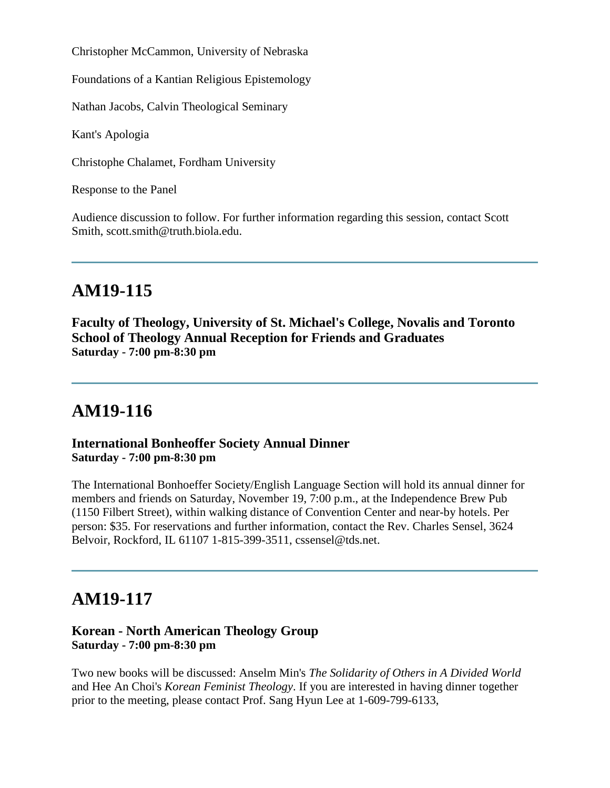Christopher McCammon, University of Nebraska

Foundations of a Kantian Religious Epistemology

Nathan Jacobs, Calvin Theological Seminary

Kant's Apologia

Christophe Chalamet, Fordham University

Response to the Panel

Audience discussion to follow. For further information regarding this session, contact Scott Smith, scott.smith@truth.biola.edu.

# **AM19-115**

**Faculty of Theology, University of St. Michael's College, Novalis and Toronto School of Theology Annual Reception for Friends and Graduates Saturday - 7:00 pm-8:30 pm**

## **AM19-116**

**International Bonheoffer Society Annual Dinner Saturday - 7:00 pm-8:30 pm**

The International Bonhoeffer Society/English Language Section will hold its annual dinner for members and friends on Saturday, November 19, 7:00 p.m., at the Independence Brew Pub (1150 Filbert Street), within walking distance of Convention Center and near-by hotels. Per person: \$35. For reservations and further information, contact the Rev. Charles Sensel, 3624 Belvoir, Rockford, IL 61107 1-815-399-3511, cssensel@tds.net.

## **AM19-117**

#### **Korean - North American Theology Group Saturday - 7:00 pm-8:30 pm**

Two new books will be discussed: Anselm Min's *The Solidarity of Others in A Divided World* and Hee An Choi's *Korean Feminist Theology*. If you are interested in having dinner together prior to the meeting, please contact Prof. Sang Hyun Lee at 1-609-799-6133,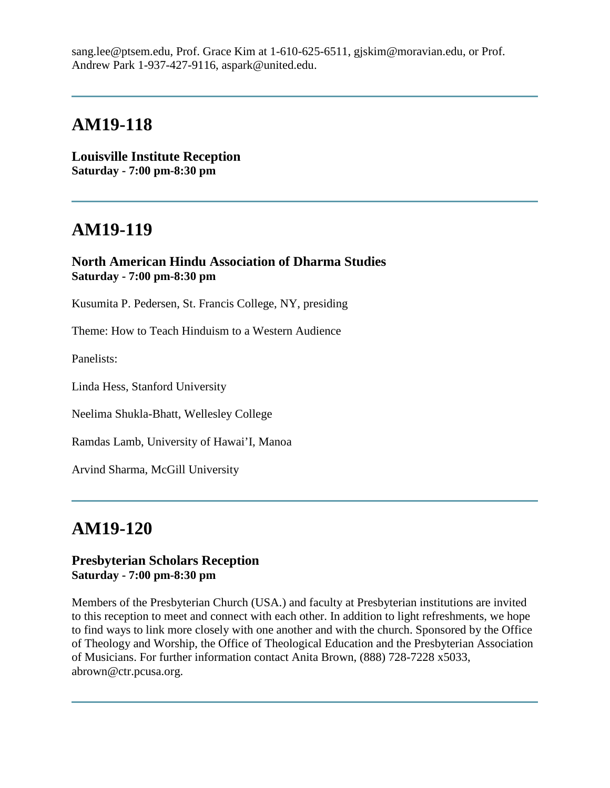sang.lee@ptsem.edu, Prof. Grace Kim at 1-610-625-6511, gjskim@moravian.edu, or Prof. Andrew Park 1-937-427-9116, aspark@united.edu.

## **AM19-118**

**Louisville Institute Reception Saturday - 7:00 pm-8:30 pm**

## **AM19-119**

**North American Hindu Association of Dharma Studies Saturday - 7:00 pm-8:30 pm**

Kusumita P. Pedersen, St. Francis College, NY, presiding

Theme: How to Teach Hinduism to a Western Audience

Panelists:

Linda Hess, Stanford University

Neelima Shukla-Bhatt, Wellesley College

Ramdas Lamb, University of Hawai'I, Manoa

Arvind Sharma, McGill University

# **AM19-120**

#### **Presbyterian Scholars Reception Saturday - 7:00 pm-8:30 pm**

Members of the Presbyterian Church (USA.) and faculty at Presbyterian institutions are invited to this reception to meet and connect with each other. In addition to light refreshments, we hope to find ways to link more closely with one another and with the church. Sponsored by the Office of Theology and Worship, the Office of Theological Education and the Presbyterian Association of Musicians. For further information contact Anita Brown, (888) 728-7228 x5033, abrown@ctr.pcusa.org.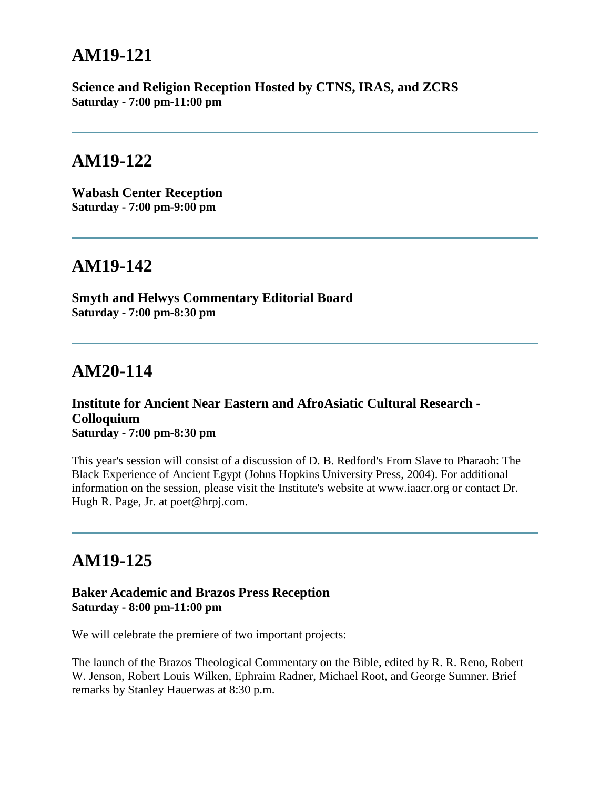# **AM19-121**

**Science and Religion Reception Hosted by CTNS, IRAS, and ZCRS Saturday - 7:00 pm-11:00 pm**

## **AM19-122**

**Wabash Center Reception Saturday - 7:00 pm-9:00 pm**

# **AM19-142**

**Smyth and Helwys Commentary Editorial Board Saturday - 7:00 pm-8:30 pm**

## **AM20-114**

#### **Institute for Ancient Near Eastern and AfroAsiatic Cultural Research - Colloquium Saturday - 7:00 pm-8:30 pm**

This year's session will consist of a discussion of D. B. Redford's From Slave to Pharaoh: The Black Experience of Ancient Egypt (Johns Hopkins University Press, 2004). For additional information on the session, please visit the Institute's website at www.iaacr.org or contact Dr. Hugh R. Page, Jr. at poet@hrpj.com.

# **AM19-125**

### **Baker Academic and Brazos Press Reception Saturday - 8:00 pm-11:00 pm**

We will celebrate the premiere of two important projects:

The launch of the Brazos Theological Commentary on the Bible, edited by R. R. Reno, Robert W. Jenson, Robert Louis Wilken, Ephraim Radner, Michael Root, and George Sumner. Brief remarks by Stanley Hauerwas at 8:30 p.m.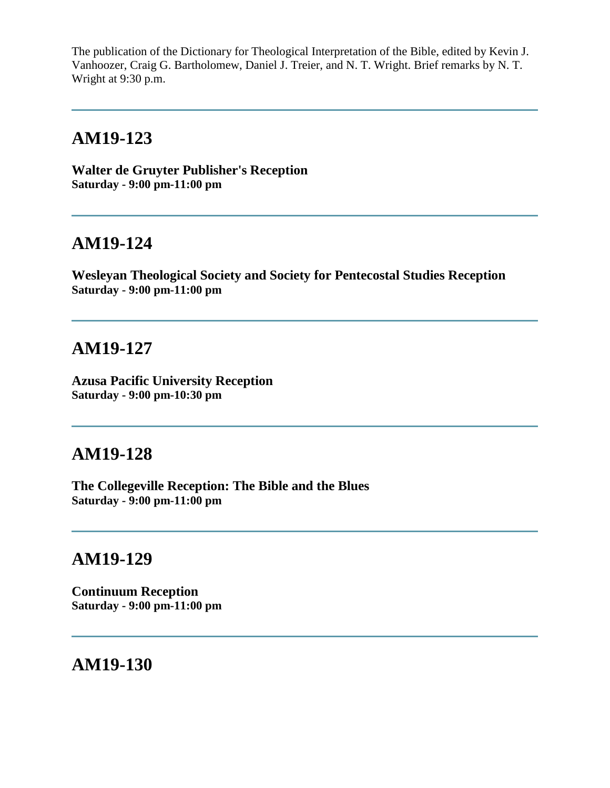The publication of the Dictionary for Theological Interpretation of the Bible, edited by Kevin J. Vanhoozer, Craig G. Bartholomew, Daniel J. Treier, and N. T. Wright. Brief remarks by N. T. Wright at 9:30 p.m.

## **AM19-123**

**Walter de Gruyter Publisher's Reception Saturday - 9:00 pm-11:00 pm**

# **AM19-124**

**Wesleyan Theological Society and Society for Pentecostal Studies Reception Saturday - 9:00 pm-11:00 pm**

# **AM19-127**

**Azusa Pacific University Reception Saturday - 9:00 pm-10:30 pm**

## **AM19-128**

**The Collegeville Reception: The Bible and the Blues Saturday - 9:00 pm-11:00 pm**

### **AM19-129**

**Continuum Reception Saturday - 9:00 pm-11:00 pm**

# **AM19-130**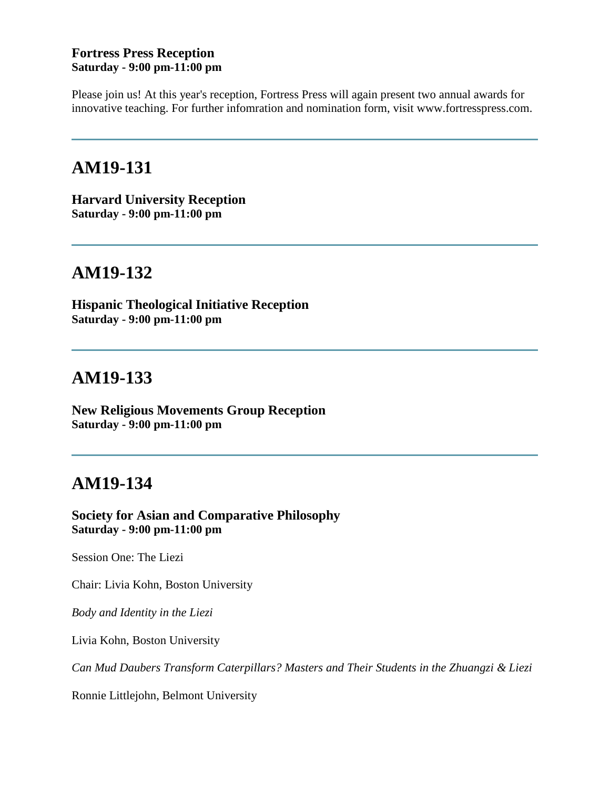#### **Fortress Press Reception Saturday - 9:00 pm-11:00 pm**

Please join us! At this year's reception, Fortress Press will again present two annual awards for innovative teaching. For further infomration and nomination form, visit www.fortresspress.com.

# **AM19-131**

**Harvard University Reception Saturday - 9:00 pm-11:00 pm**

## **AM19-132**

**Hispanic Theological Initiative Reception Saturday - 9:00 pm-11:00 pm**

## **AM19-133**

**New Religious Movements Group Reception Saturday - 9:00 pm-11:00 pm**

# **AM19-134**

**Society for Asian and Comparative Philosophy Saturday - 9:00 pm-11:00 pm**

Session One: The Liezi

Chair: Livia Kohn, Boston University

*Body and Identity in the Liezi*

Livia Kohn, Boston University

*Can Mud Daubers Transform Caterpillars? Masters and Their Students in the Zhuangzi & Liezi*

Ronnie Littlejohn, Belmont University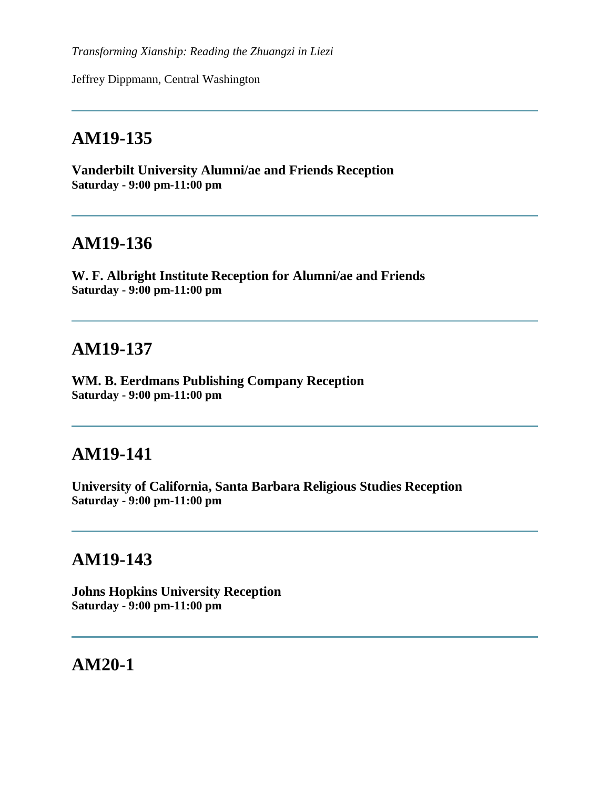*Transforming Xianship: Reading the Zhuangzi in Liezi*

Jeffrey Dippmann, Central Washington

# **AM19-135**

**Vanderbilt University Alumni/ae and Friends Reception Saturday - 9:00 pm-11:00 pm**

# **AM19-136**

**W. F. Albright Institute Reception for Alumni/ae and Friends Saturday - 9:00 pm-11:00 pm**

### **AM19-137**

**WM. B. Eerdmans Publishing Company Reception Saturday - 9:00 pm-11:00 pm**

## **AM19-141**

**University of California, Santa Barbara Religious Studies Reception Saturday - 9:00 pm-11:00 pm**

### **AM19-143**

**Johns Hopkins University Reception Saturday - 9:00 pm-11:00 pm**

**AM20-1**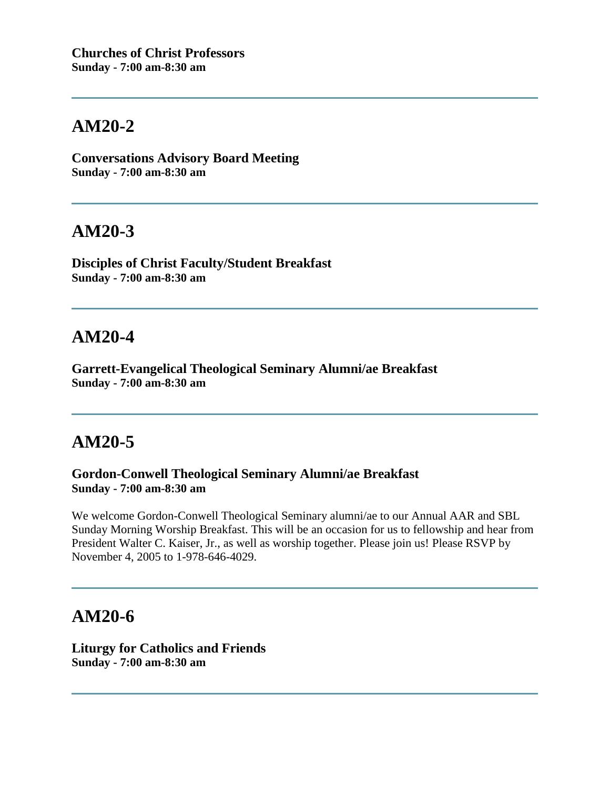**Conversations Advisory Board Meeting Sunday - 7:00 am-8:30 am**

## **AM20-3**

**Disciples of Christ Faculty/Student Breakfast Sunday - 7:00 am-8:30 am**

## **AM20-4**

**Garrett-Evangelical Theological Seminary Alumni/ae Breakfast Sunday - 7:00 am-8:30 am**

# **AM20-5**

**Gordon-Conwell Theological Seminary Alumni/ae Breakfast Sunday - 7:00 am-8:30 am**

We welcome Gordon-Conwell Theological Seminary alumni/ae to our Annual AAR and SBL Sunday Morning Worship Breakfast. This will be an occasion for us to fellowship and hear from President Walter C. Kaiser, Jr., as well as worship together. Please join us! Please RSVP by November 4, 2005 to 1-978-646-4029.

## **AM20-6**

**Liturgy for Catholics and Friends Sunday - 7:00 am-8:30 am**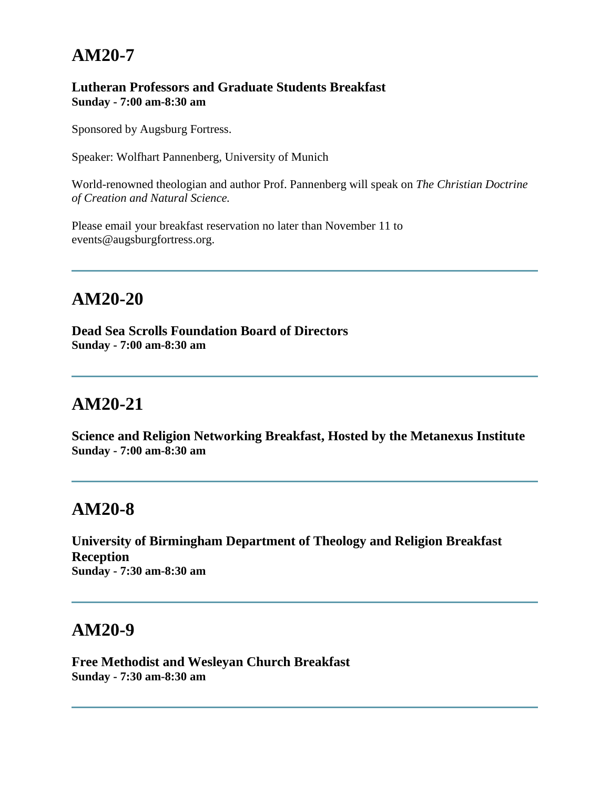#### **Lutheran Professors and Graduate Students Breakfast Sunday - 7:00 am-8:30 am**

Sponsored by Augsburg Fortress.

Speaker: Wolfhart Pannenberg, University of Munich

World-renowned theologian and author Prof. Pannenberg will speak on *The Christian Doctrine of Creation and Natural Science.*

Please email your breakfast reservation no later than November 11 to events@augsburgfortress.org.

# **AM20-20**

**Dead Sea Scrolls Foundation Board of Directors Sunday - 7:00 am-8:30 am**

## **AM20-21**

**Science and Religion Networking Breakfast, Hosted by the Metanexus Institute Sunday - 7:00 am-8:30 am**

## **AM20-8**

**University of Birmingham Department of Theology and Religion Breakfast Reception Sunday - 7:30 am-8:30 am**

## **AM20-9**

**Free Methodist and Wesleyan Church Breakfast Sunday - 7:30 am-8:30 am**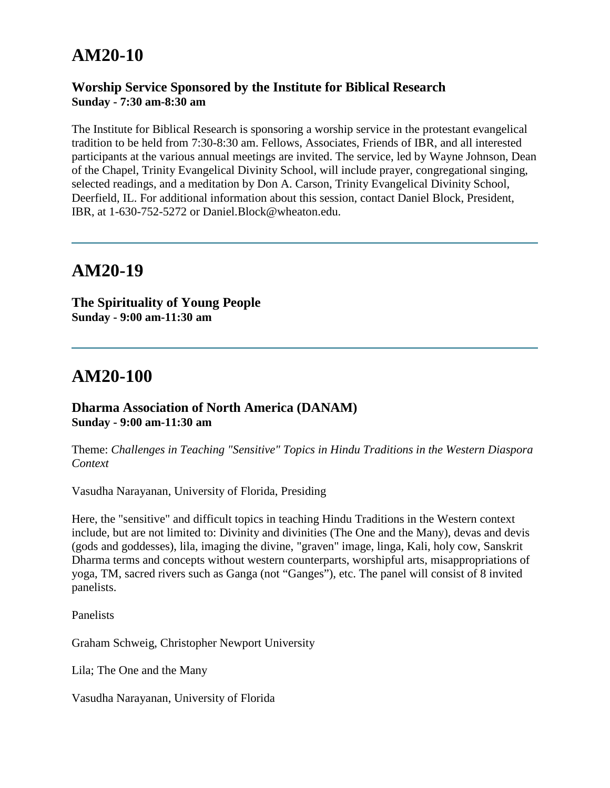#### **Worship Service Sponsored by the Institute for Biblical Research Sunday - 7:30 am-8:30 am**

The Institute for Biblical Research is sponsoring a worship service in the protestant evangelical tradition to be held from 7:30-8:30 am. Fellows, Associates, Friends of IBR, and all interested participants at the various annual meetings are invited. The service, led by Wayne Johnson, Dean of the Chapel, Trinity Evangelical Divinity School, will include prayer, congregational singing, selected readings, and a meditation by Don A. Carson, Trinity Evangelical Divinity School, Deerfield, IL. For additional information about this session, contact Daniel Block, President, IBR, at 1-630-752-5272 or Daniel.Block@wheaton.edu.

## **AM20-19**

**The Spirituality of Young People Sunday - 9:00 am-11:30 am**

## **AM20-100**

#### **Dharma Association of North America (DANAM) Sunday - 9:00 am-11:30 am**

Theme: *Challenges in Teaching "Sensitive" Topics in Hindu Traditions in the Western Diaspora Context*

Vasudha Narayanan, University of Florida, Presiding

Here, the "sensitive" and difficult topics in teaching Hindu Traditions in the Western context include, but are not limited to: Divinity and divinities (The One and the Many), devas and devis (gods and goddesses), lila, imaging the divine, "graven" image, linga, Kali, holy cow, Sanskrit Dharma terms and concepts without western counterparts, worshipful arts, misappropriations of yoga, TM, sacred rivers such as Ganga (not "Ganges"), etc. The panel will consist of 8 invited panelists.

Panelists

Graham Schweig, Christopher Newport University

Lila; The One and the Many

Vasudha Narayanan, University of Florida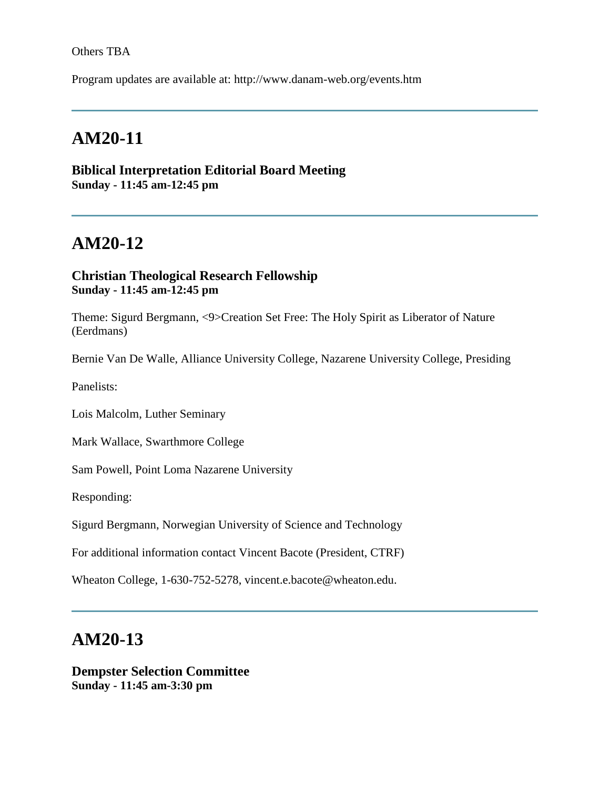#### Others TBA

Program updates are available at: http://www.danam-web.org/events.htm

# **AM20-11**

#### **Biblical Interpretation Editorial Board Meeting Sunday - 11:45 am-12:45 pm**

# **AM20-12**

### **Christian Theological Research Fellowship Sunday - 11:45 am-12:45 pm**

Theme: Sigurd Bergmann, <9>Creation Set Free: The Holy Spirit as Liberator of Nature (Eerdmans)

Bernie Van De Walle, Alliance University College, Nazarene University College, Presiding

Panelists:

Lois Malcolm, Luther Seminary

Mark Wallace, Swarthmore College

Sam Powell, Point Loma Nazarene University

Responding:

Sigurd Bergmann, Norwegian University of Science and Technology

For additional information contact Vincent Bacote (President, CTRF)

Wheaton College, 1-630-752-5278, vincent.e.bacote@wheaton.edu.

### **AM20-13**

**Dempster Selection Committee Sunday - 11:45 am-3:30 pm**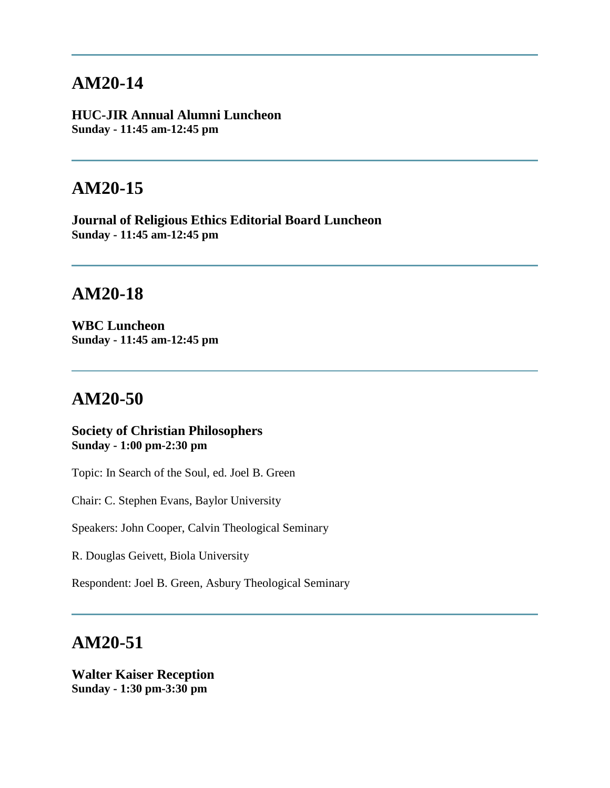**HUC-JIR Annual Alumni Luncheon Sunday - 11:45 am-12:45 pm**

## **AM20-15**

**Journal of Religious Ethics Editorial Board Luncheon Sunday - 11:45 am-12:45 pm**

# **AM20-18**

**WBC Luncheon Sunday - 11:45 am-12:45 pm**

# **AM20-50**

#### **Society of Christian Philosophers Sunday - 1:00 pm-2:30 pm**

Topic: In Search of the Soul, ed. Joel B. Green

Chair: C. Stephen Evans, Baylor University

Speakers: John Cooper, Calvin Theological Seminary

R. Douglas Geivett, Biola University

Respondent: Joel B. Green, Asbury Theological Seminary

## **AM20-51**

**Walter Kaiser Reception Sunday - 1:30 pm-3:30 pm**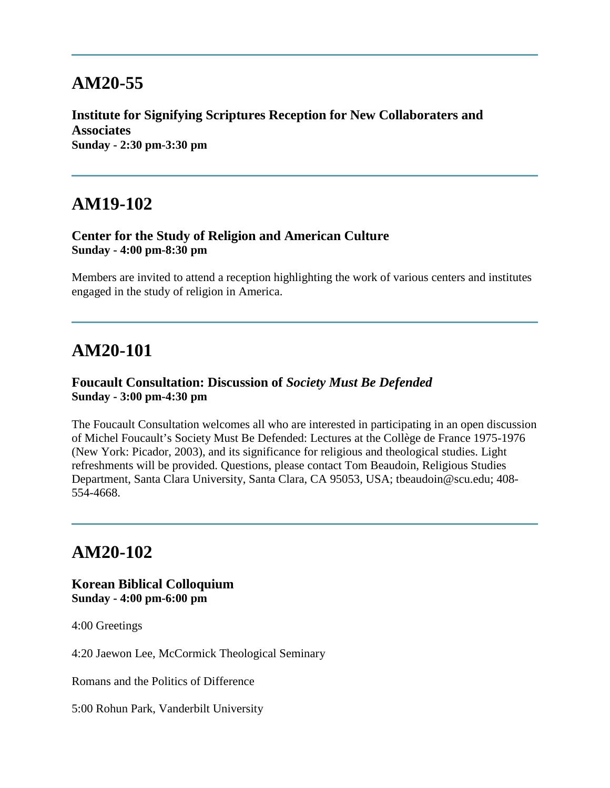**Institute for Signifying Scriptures Reception for New Collaboraters and Associates Sunday - 2:30 pm-3:30 pm**

## **AM19-102**

#### **Center for the Study of Religion and American Culture Sunday - 4:00 pm-8:30 pm**

Members are invited to attend a reception highlighting the work of various centers and institutes engaged in the study of religion in America.

## **AM20-101**

#### **Foucault Consultation: Discussion of** *Society Must Be Defended* **Sunday - 3:00 pm-4:30 pm**

The Foucault Consultation welcomes all who are interested in participating in an open discussion of Michel Foucault's Society Must Be Defended: Lectures at the Collège de France 1975-1976 (New York: Picador, 2003), and its significance for religious and theological studies. Light refreshments will be provided. Questions, please contact Tom Beaudoin, Religious Studies Department, Santa Clara University, Santa Clara, CA 95053, USA; tbeaudoin@scu.edu; 408- 554-4668.

# **AM20-102**

#### **Korean Biblical Colloquium Sunday - 4:00 pm-6:00 pm**

4:00 Greetings

4:20 Jaewon Lee, McCormick Theological Seminary

Romans and the Politics of Difference

5:00 Rohun Park, Vanderbilt University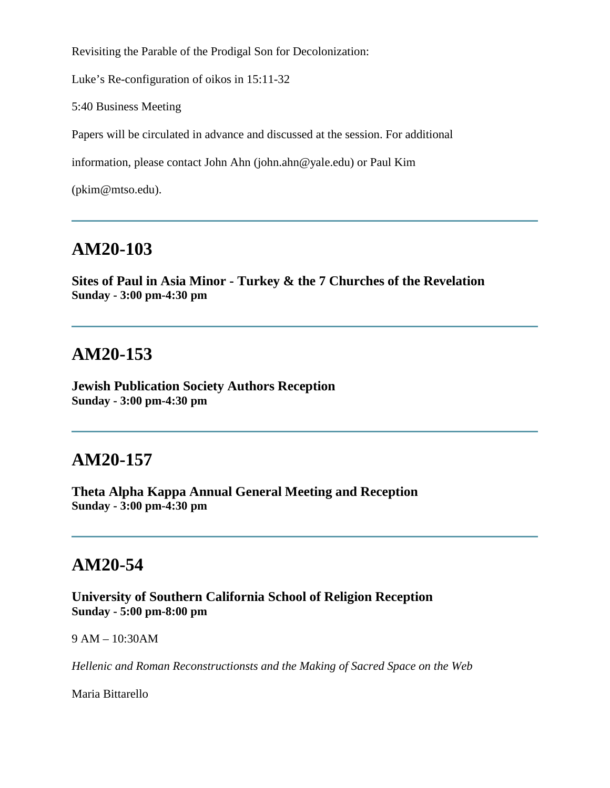Revisiting the Parable of the Prodigal Son for Decolonization:

Luke's Re-configuration of oikos in 15:11-32

5:40 Business Meeting

Papers will be circulated in advance and discussed at the session. For additional

information, please contact John Ahn (john.ahn@yale.edu) or Paul Kim

(pkim@mtso.edu).

# **AM20-103**

**Sites of Paul in Asia Minor - Turkey & the 7 Churches of the Revelation Sunday - 3:00 pm-4:30 pm**

## **AM20-153**

**Jewish Publication Society Authors Reception Sunday - 3:00 pm-4:30 pm**

## **AM20-157**

**Theta Alpha Kappa Annual General Meeting and Reception Sunday - 3:00 pm-4:30 pm**

## **AM20-54**

**University of Southern California School of Religion Reception Sunday - 5:00 pm-8:00 pm**

9 AM – 10:30AM

*Hellenic and Roman Reconstructionsts and the Making of Sacred Space on the Web*

Maria Bittarello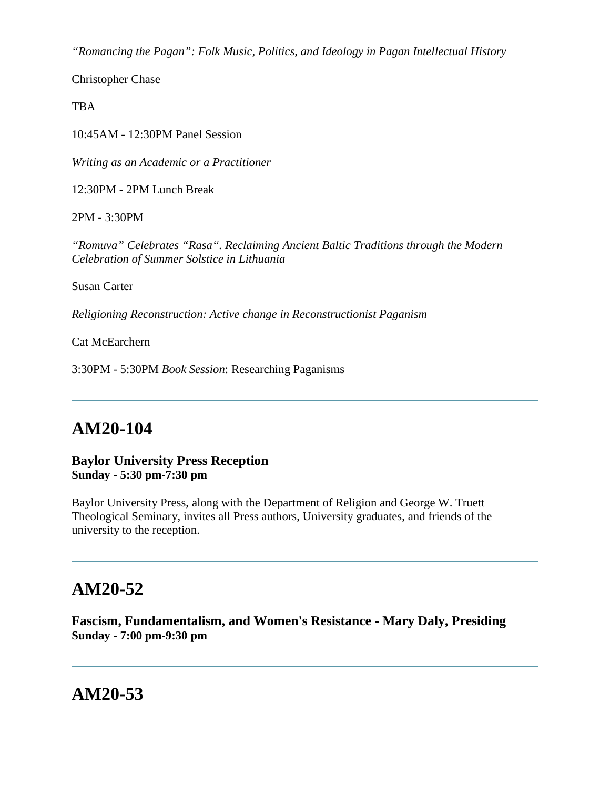*"Romancing the Pagan": Folk Music, Politics, and Ideology in Pagan Intellectual History*

Christopher Chase

**TBA** 

10:45AM - 12:30PM Panel Session

*Writing as an Academic or a Practitioner*

12:30PM - 2PM Lunch Break

2PM - 3:30PM

*"Romuva" Celebrates "Rasa". Reclaiming Ancient Baltic Traditions through the Modern Celebration of Summer Solstice in Lithuania*

Susan Carter

*Religioning Reconstruction: Active change in Reconstructionist Paganism*

Cat McEarchern

3:30PM - 5:30PM *Book Session*: Researching Paganisms

## **AM20-104**

#### **Baylor University Press Reception Sunday - 5:30 pm-7:30 pm**

Baylor University Press, along with the Department of Religion and George W. Truett Theological Seminary, invites all Press authors, University graduates, and friends of the university to the reception.

# **AM20-52**

**Fascism, Fundamentalism, and Women's Resistance - Mary Daly, Presiding Sunday - 7:00 pm-9:30 pm**

## **AM20-53**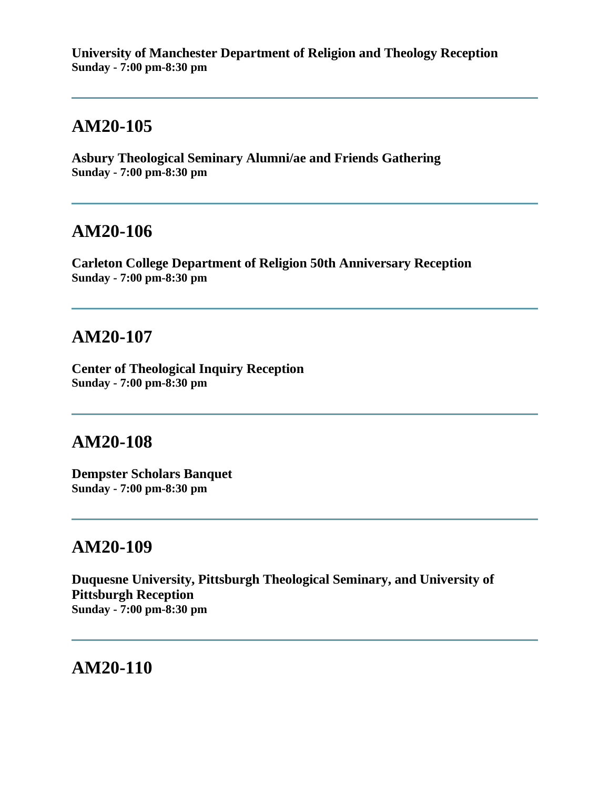**University of Manchester Department of Religion and Theology Reception Sunday - 7:00 pm-8:30 pm**

# **AM20-105**

**Asbury Theological Seminary Alumni/ae and Friends Gathering Sunday - 7:00 pm-8:30 pm**

### **AM20-106**

**Carleton College Department of Religion 50th Anniversary Reception Sunday - 7:00 pm-8:30 pm**

## **AM20-107**

**Center of Theological Inquiry Reception Sunday - 7:00 pm-8:30 pm**

## **AM20-108**

**Dempster Scholars Banquet Sunday - 7:00 pm-8:30 pm**

## **AM20-109**

**Duquesne University, Pittsburgh Theological Seminary, and University of Pittsburgh Reception Sunday - 7:00 pm-8:30 pm**

**AM20-110**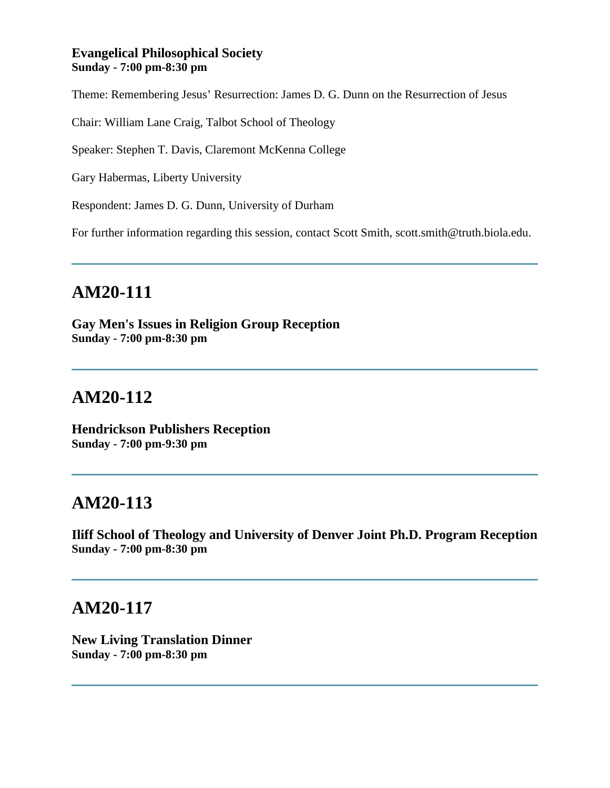#### **Evangelical Philosophical Society Sunday - 7:00 pm-8:30 pm**

Theme: Remembering Jesus' Resurrection: James D. G. Dunn on the Resurrection of Jesus

Chair: William Lane Craig, Talbot School of Theology

Speaker: Stephen T. Davis, Claremont McKenna College

Gary Habermas, Liberty University

Respondent: James D. G. Dunn, University of Durham

For further information regarding this session, contact Scott Smith, scott.smith@truth.biola.edu.

# **AM20-111**

**Gay Men's Issues in Religion Group Reception Sunday - 7:00 pm-8:30 pm**

# **AM20-112**

**Hendrickson Publishers Reception Sunday - 7:00 pm-9:30 pm**

## **AM20-113**

**Iliff School of Theology and University of Denver Joint Ph.D. Program Reception Sunday - 7:00 pm-8:30 pm**

## **AM20-117**

**New Living Translation Dinner Sunday - 7:00 pm-8:30 pm**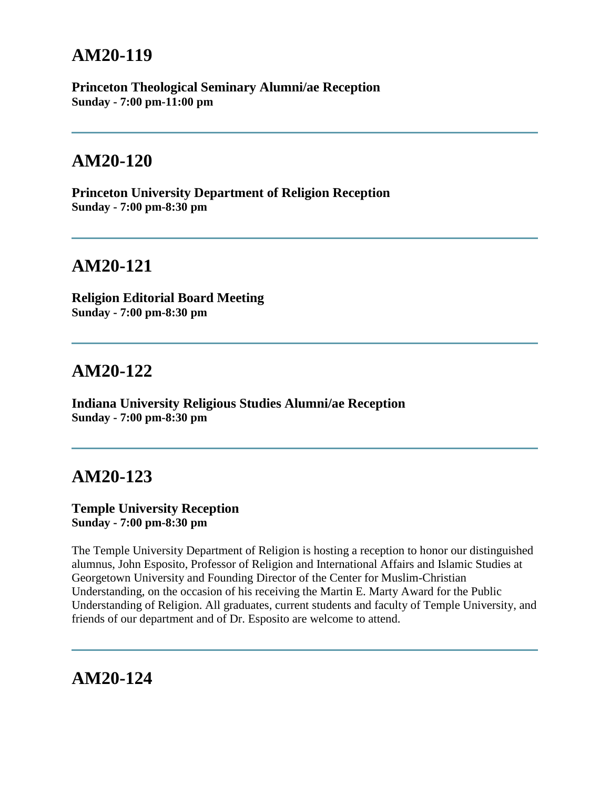**Princeton Theological Seminary Alumni/ae Reception Sunday - 7:00 pm-11:00 pm**

## **AM20-120**

**Princeton University Department of Religion Reception Sunday - 7:00 pm-8:30 pm**

# **AM20-121**

**Religion Editorial Board Meeting Sunday - 7:00 pm-8:30 pm**

## **AM20-122**

**Indiana University Religious Studies Alumni/ae Reception Sunday - 7:00 pm-8:30 pm**

## **AM20-123**

#### **Temple University Reception Sunday - 7:00 pm-8:30 pm**

The Temple University Department of Religion is hosting a reception to honor our distinguished alumnus, John Esposito, Professor of Religion and International Affairs and Islamic Studies at Georgetown University and Founding Director of the Center for Muslim-Christian Understanding, on the occasion of his receiving the Martin E. Marty Award for the Public Understanding of Religion. All graduates, current students and faculty of Temple University, and friends of our department and of Dr. Esposito are welcome to attend.

# **AM20-124**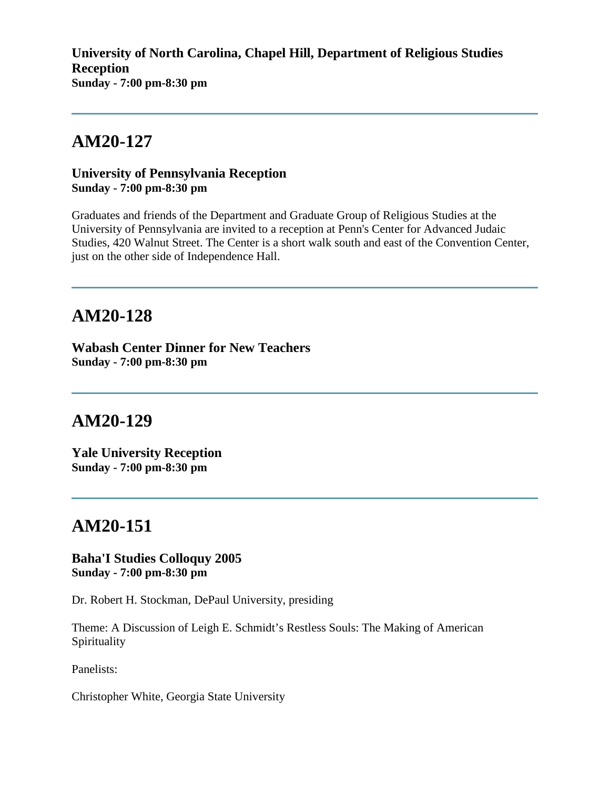**University of North Carolina, Chapel Hill, Department of Religious Studies Reception Sunday - 7:00 pm-8:30 pm**

# **AM20-127**

#### **University of Pennsylvania Reception Sunday - 7:00 pm-8:30 pm**

Graduates and friends of the Department and Graduate Group of Religious Studies at the University of Pennsylvania are invited to a reception at Penn's Center for Advanced Judaic Studies, 420 Walnut Street. The Center is a short walk south and east of the Convention Center, just on the other side of Independence Hall.

# **AM20-128**

**Wabash Center Dinner for New Teachers Sunday - 7:00 pm-8:30 pm**

## **AM20-129**

**Yale University Reception Sunday - 7:00 pm-8:30 pm**

## **AM20-151**

**Baha'I Studies Colloquy 2005 Sunday - 7:00 pm-8:30 pm**

Dr. Robert H. Stockman, DePaul University, presiding

Theme: A Discussion of Leigh E. Schmidt's Restless Souls: The Making of American Spirituality

Panelists:

Christopher White, Georgia State University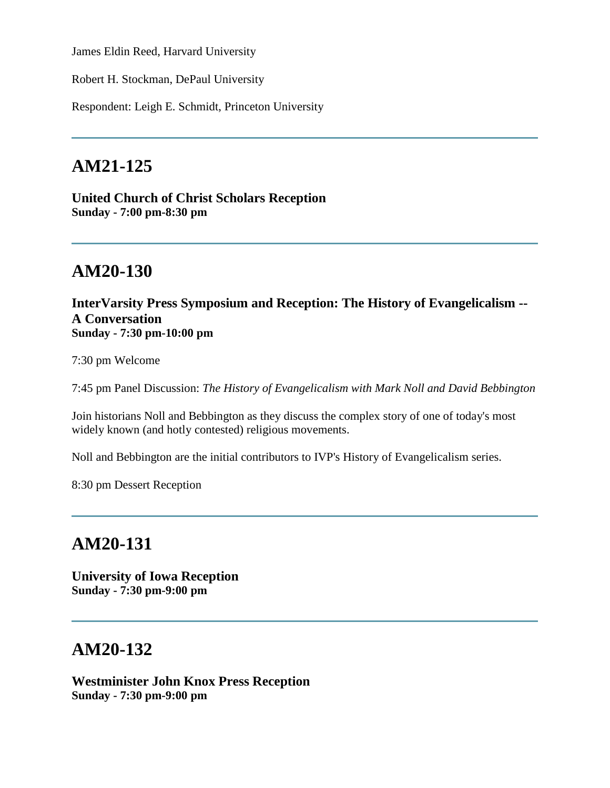James Eldin Reed, Harvard University

Robert H. Stockman, DePaul University

Respondent: Leigh E. Schmidt, Princeton University

## **AM21-125**

**United Church of Christ Scholars Reception Sunday - 7:00 pm-8:30 pm**

## **AM20-130**

**InterVarsity Press Symposium and Reception: The History of Evangelicalism -- A Conversation Sunday - 7:30 pm-10:00 pm**

7:30 pm Welcome

7:45 pm Panel Discussion: *The History of Evangelicalism with Mark Noll and David Bebbington*

Join historians Noll and Bebbington as they discuss the complex story of one of today's most widely known (and hotly contested) religious movements.

Noll and Bebbington are the initial contributors to IVP's History of Evangelicalism series.

8:30 pm Dessert Reception

## **AM20-131**

**University of Iowa Reception Sunday - 7:30 pm-9:00 pm**

## **AM20-132**

**Westminister John Knox Press Reception Sunday - 7:30 pm-9:00 pm**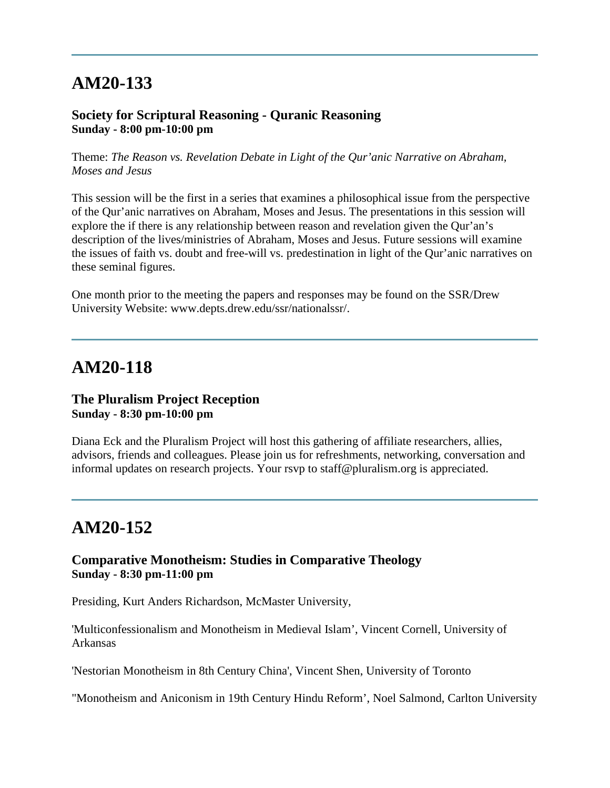#### **Society for Scriptural Reasoning - Quranic Reasoning Sunday - 8:00 pm-10:00 pm**

Theme: *The Reason vs. Revelation Debate in Light of the Qur'anic Narrative on Abraham, Moses and Jesus*

This session will be the first in a series that examines a philosophical issue from the perspective of the Qur'anic narratives on Abraham, Moses and Jesus. The presentations in this session will explore the if there is any relationship between reason and revelation given the Qur'an's description of the lives/ministries of Abraham, Moses and Jesus. Future sessions will examine the issues of faith vs. doubt and free-will vs. predestination in light of the Qur'anic narratives on these seminal figures.

One month prior to the meeting the papers and responses may be found on the SSR/Drew University Website: www.depts.drew.edu/ssr/nationalssr/.

## **AM20-118**

#### **The Pluralism Project Reception Sunday - 8:30 pm-10:00 pm**

Diana Eck and the Pluralism Project will host this gathering of affiliate researchers, allies, advisors, friends and colleagues. Please join us for refreshments, networking, conversation and informal updates on research projects. Your rsvp to staff@pluralism.org is appreciated.

# **AM20-152**

#### **Comparative Monotheism: Studies in Comparative Theology Sunday - 8:30 pm-11:00 pm**

Presiding, Kurt Anders Richardson, McMaster University,

'Multiconfessionalism and Monotheism in Medieval Islam', Vincent Cornell, University of Arkansas

'Nestorian Monotheism in 8th Century China', Vincent Shen, University of Toronto

"Monotheism and Aniconism in 19th Century Hindu Reform', Noel Salmond, Carlton University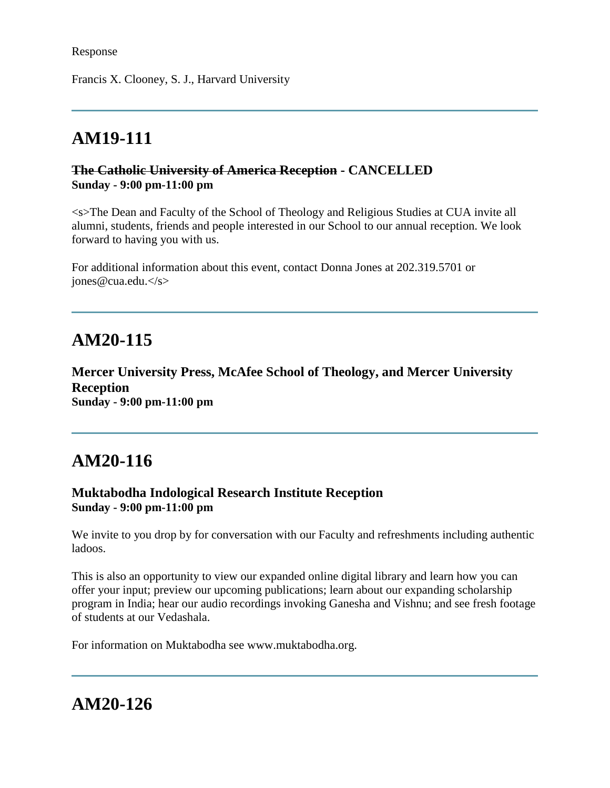Francis X. Clooney, S. J., Harvard University

# **AM19-111**

### **The Catholic University of America Reception - CANCELLED Sunday - 9:00 pm-11:00 pm**

<s>The Dean and Faculty of the School of Theology and Religious Studies at CUA invite all alumni, students, friends and people interested in our School to our annual reception. We look forward to having you with us.

For additional information about this event, contact Donna Jones at 202.319.5701 or  $i$ ones@cua.edu.</s>

# **AM20-115**

**Mercer University Press, McAfee School of Theology, and Mercer University Reception Sunday - 9:00 pm-11:00 pm**

# **AM20-116**

### **Muktabodha Indological Research Institute Reception Sunday - 9:00 pm-11:00 pm**

We invite to you drop by for conversation with our Faculty and refreshments including authentic ladoos.

This is also an opportunity to view our expanded online digital library and learn how you can offer your input; preview our upcoming publications; learn about our expanding scholarship program in India; hear our audio recordings invoking Ganesha and Vishnu; and see fresh footage of students at our Vedashala.

For information on Muktabodha see www.muktabodha.org.

# **AM20-126**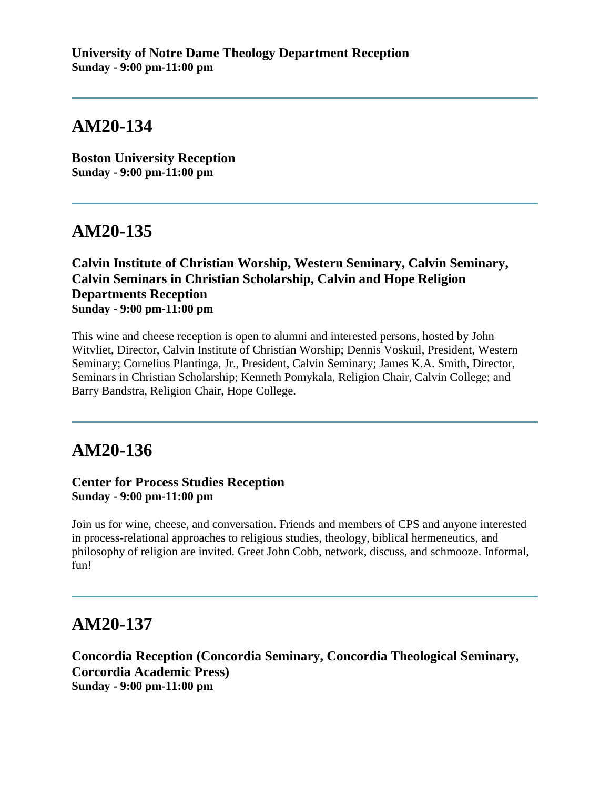**Boston University Reception Sunday - 9:00 pm-11:00 pm**

# **AM20-135**

### **Calvin Institute of Christian Worship, Western Seminary, Calvin Seminary, Calvin Seminars in Christian Scholarship, Calvin and Hope Religion Departments Reception Sunday - 9:00 pm-11:00 pm**

This wine and cheese reception is open to alumni and interested persons, hosted by John Witvliet, Director, Calvin Institute of Christian Worship; Dennis Voskuil, President, Western Seminary; Cornelius Plantinga, Jr., President, Calvin Seminary; James K.A. Smith, Director, Seminars in Christian Scholarship; Kenneth Pomykala, Religion Chair, Calvin College; and Barry Bandstra, Religion Chair, Hope College.

## **AM20-136**

#### **Center for Process Studies Reception Sunday - 9:00 pm-11:00 pm**

Join us for wine, cheese, and conversation. Friends and members of CPS and anyone interested in process-relational approaches to religious studies, theology, biblical hermeneutics, and philosophy of religion are invited. Greet John Cobb, network, discuss, and schmooze. Informal, fun!

## **AM20-137**

**Concordia Reception (Concordia Seminary, Concordia Theological Seminary, Corcordia Academic Press) Sunday - 9:00 pm-11:00 pm**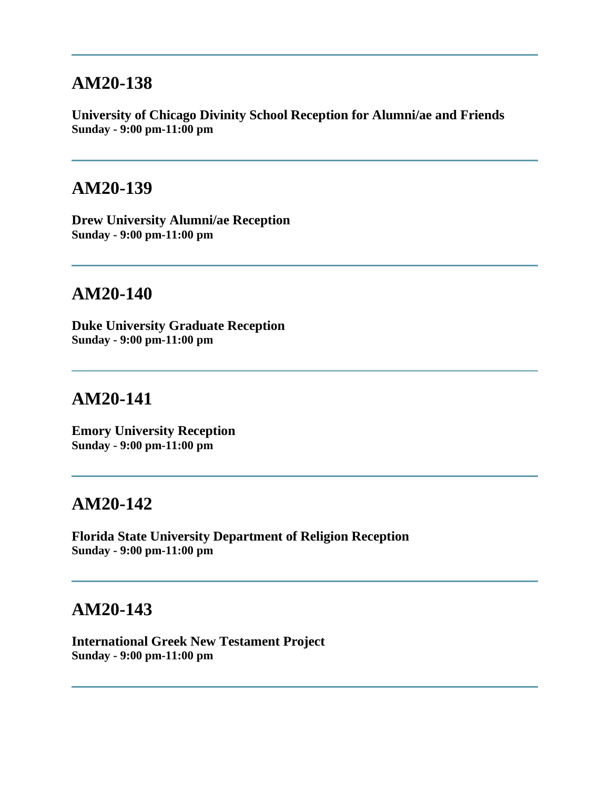**University of Chicago Divinity School Reception for Alumni/ae and Friends Sunday - 9:00 pm-11:00 pm**

### **AM20-139**

**Drew University Alumni/ae Reception Sunday - 9:00 pm-11:00 pm**

# **AM20-140**

**Duke University Graduate Reception Sunday - 9:00 pm-11:00 pm**

## **AM20-141**

**Emory University Reception Sunday - 9:00 pm-11:00 pm**

## **AM20-142**

**Florida State University Department of Religion Reception Sunday - 9:00 pm-11:00 pm**

## **AM20-143**

**International Greek New Testament Project Sunday - 9:00 pm-11:00 pm**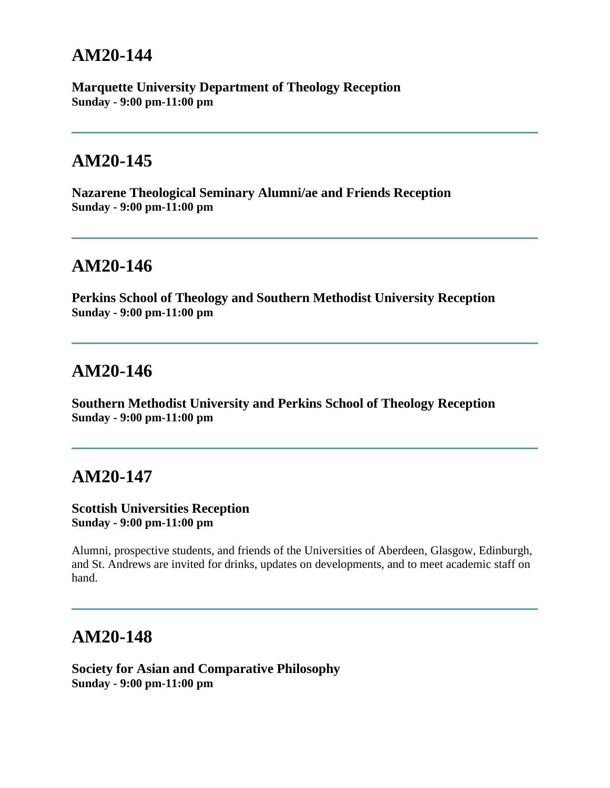**Marquette University Department of Theology Reception Sunday - 9:00 pm-11:00 pm**

## **AM20-145**

**Nazarene Theological Seminary Alumni/ae and Friends Reception Sunday - 9:00 pm-11:00 pm**

## **AM20-146**

**Perkins School of Theology and Southern Methodist University Reception Sunday - 9:00 pm-11:00 pm**

## **AM20-146**

**Southern Methodist University and Perkins School of Theology Reception Sunday - 9:00 pm-11:00 pm**

## **AM20-147**

#### **Scottish Universities Reception Sunday - 9:00 pm-11:00 pm**

Alumni, prospective students, and friends of the Universities of Aberdeen, Glasgow, Edinburgh, and St. Andrews are invited for drinks, updates on developments, and to meet academic staff on hand.

## **AM20-148**

**Society for Asian and Comparative Philosophy Sunday - 9:00 pm-11:00 pm**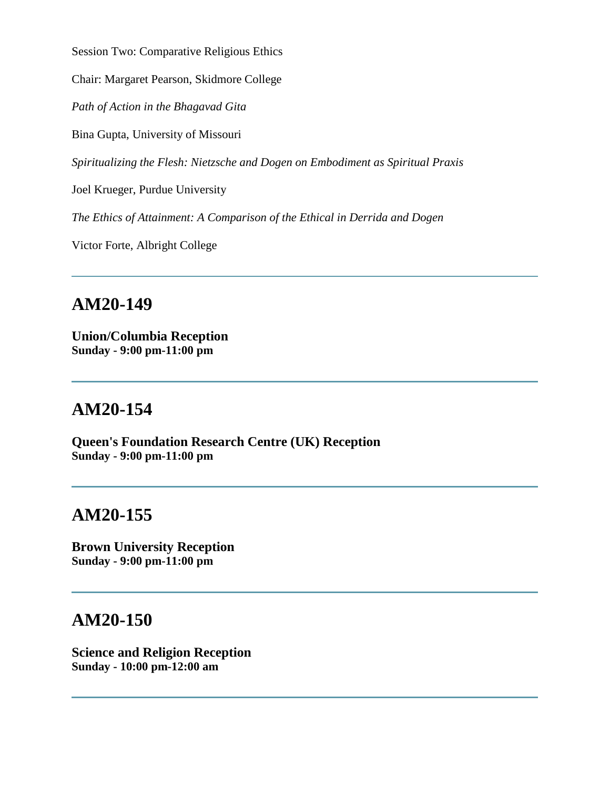Session Two: Comparative Religious Ethics

Chair: Margaret Pearson, Skidmore College

*Path of Action in the Bhagavad Gita*

Bina Gupta, University of Missouri

*Spiritualizing the Flesh: Nietzsche and Dogen on Embodiment as Spiritual Praxis*

Joel Krueger, Purdue University

*The Ethics of Attainment: A Comparison of the Ethical in Derrida and Dogen*

Victor Forte, Albright College

### **AM20-149**

**Union/Columbia Reception Sunday - 9:00 pm-11:00 pm**

## **AM20-154**

**Queen's Foundation Research Centre (UK) Reception Sunday - 9:00 pm-11:00 pm**

## **AM20-155**

**Brown University Reception Sunday - 9:00 pm-11:00 pm**

## **AM20-150**

**Science and Religion Reception Sunday - 10:00 pm-12:00 am**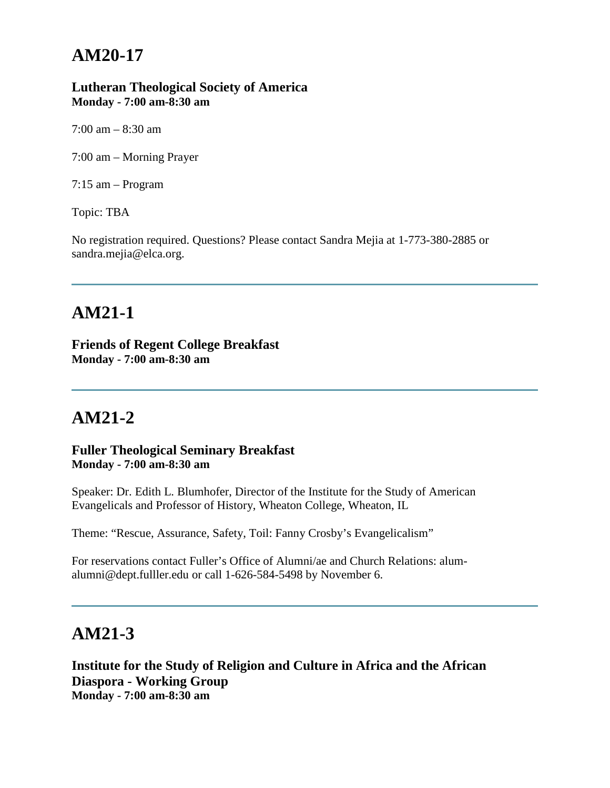#### **Lutheran Theological Society of America Monday - 7:00 am-8:30 am**

 $7:00 \text{ am} - 8:30 \text{ am}$ 

7:00 am – Morning Prayer

7:15 am – Program

Topic: TBA

No registration required. Questions? Please contact Sandra Mejia at 1-773-380-2885 or sandra.mejia@elca.org.

# **AM21-1**

**Friends of Regent College Breakfast Monday - 7:00 am-8:30 am**

# **AM21-2**

**Fuller Theological Seminary Breakfast Monday - 7:00 am-8:30 am**

Speaker: Dr. Edith L. Blumhofer, Director of the Institute for the Study of American Evangelicals and Professor of History, Wheaton College, Wheaton, IL

Theme: "Rescue, Assurance, Safety, Toil: Fanny Crosby's Evangelicalism"

For reservations contact Fuller's Office of Alumni/ae and Church Relations: alumalumni@dept.fulller.edu or call 1-626-584-5498 by November 6.

## **AM21-3**

**Institute for the Study of Religion and Culture in Africa and the African Diaspora - Working Group Monday - 7:00 am-8:30 am**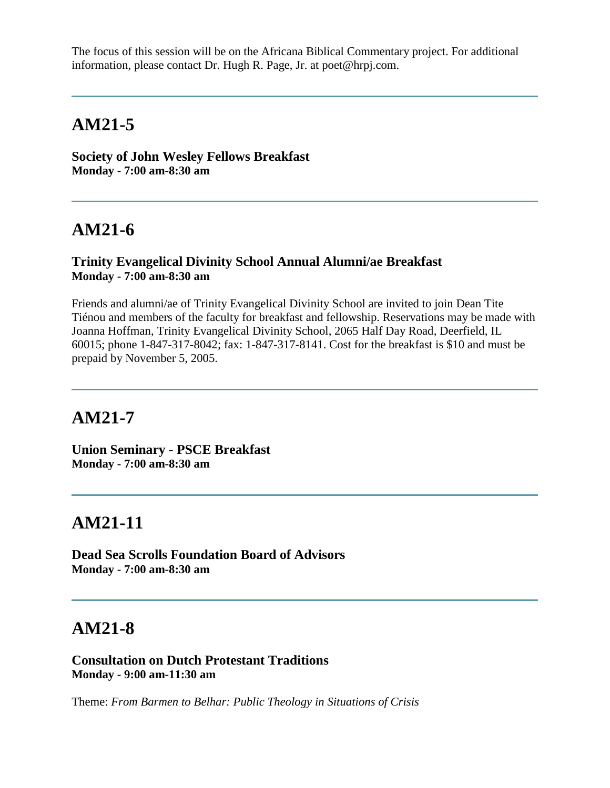The focus of this session will be on the Africana Biblical Commentary project. For additional information, please contact Dr. Hugh R. Page, Jr. at poet@hrpj.com.

## **AM21-5**

**Society of John Wesley Fellows Breakfast Monday - 7:00 am-8:30 am**

# **AM21-6**

#### **Trinity Evangelical Divinity School Annual Alumni/ae Breakfast Monday - 7:00 am-8:30 am**

Friends and alumni/ae of Trinity Evangelical Divinity School are invited to join Dean Tite Tiénou and members of the faculty for breakfast and fellowship. Reservations may be made with Joanna Hoffman, Trinity Evangelical Divinity School, 2065 Half Day Road, Deerfield, IL 60015; phone 1-847-317-8042; fax: 1-847-317-8141. Cost for the breakfast is \$10 and must be prepaid by November 5, 2005.

## **AM21-7**

**Union Seminary - PSCE Breakfast Monday - 7:00 am-8:30 am**

# **AM21-11**

**Dead Sea Scrolls Foundation Board of Advisors Monday - 7:00 am-8:30 am**

## **AM21-8**

**Consultation on Dutch Protestant Traditions Monday - 9:00 am-11:30 am**

Theme: *From Barmen to Belhar: Public Theology in Situations of Crisis*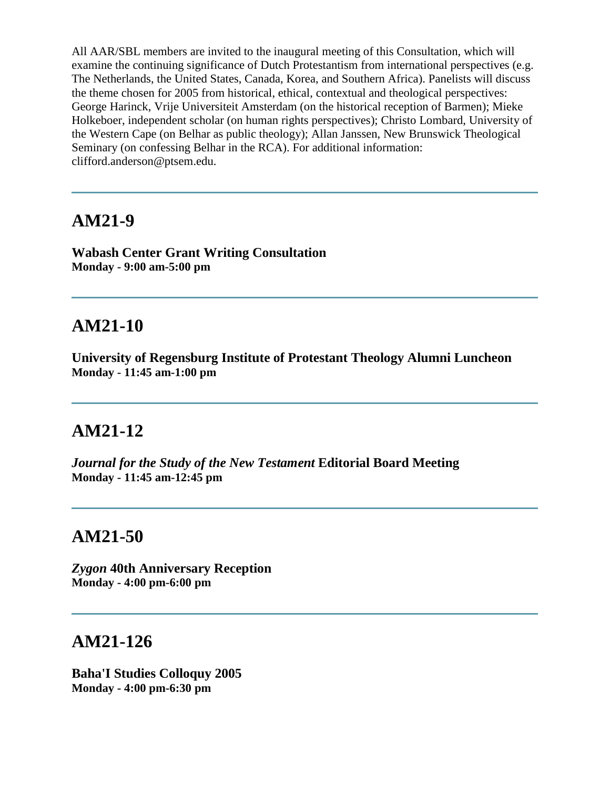All AAR/SBL members are invited to the inaugural meeting of this Consultation, which will examine the continuing significance of Dutch Protestantism from international perspectives (e.g. The Netherlands, the United States, Canada, Korea, and Southern Africa). Panelists will discuss the theme chosen for 2005 from historical, ethical, contextual and theological perspectives: George Harinck, Vrije Universiteit Amsterdam (on the historical reception of Barmen); Mieke Holkeboer, independent scholar (on human rights perspectives); Christo Lombard, University of the Western Cape (on Belhar as public theology); Allan Janssen, New Brunswick Theological Seminary (on confessing Belhar in the RCA). For additional information: clifford.anderson@ptsem.edu.

## **AM21-9**

**Wabash Center Grant Writing Consultation Monday - 9:00 am-5:00 pm**

# **AM21-10**

**University of Regensburg Institute of Protestant Theology Alumni Luncheon Monday - 11:45 am-1:00 pm**

# **AM21-12**

*Journal for the Study of the New Testament* **Editorial Board Meeting Monday - 11:45 am-12:45 pm**

## **AM21-50**

*Zygon* **40th Anniversary Reception Monday - 4:00 pm-6:00 pm**

## **AM21-126**

**Baha'I Studies Colloquy 2005 Monday - 4:00 pm-6:30 pm**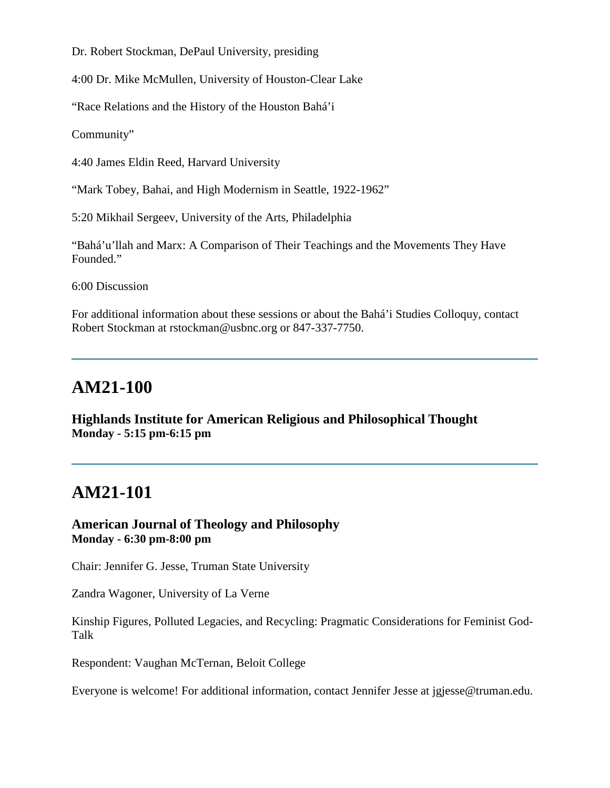Dr. Robert Stockman, DePaul University, presiding

4:00 Dr. Mike McMullen, University of Houston-Clear Lake

"Race Relations and the History of the Houston Bahá'i

Community"

4:40 James Eldin Reed, Harvard University

"Mark Tobey, Bahai, and High Modernism in Seattle, 1922-1962"

5:20 Mikhail Sergeev, University of the Arts, Philadelphia

"Bahá'u'llah and Marx: A Comparison of Their Teachings and the Movements They Have Founded."

6:00 Discussion

For additional information about these sessions or about the Bahá'i Studies Colloquy, contact Robert Stockman at rstockman@usbnc.org or 847-337-7750.

## **AM21-100**

**Highlands Institute for American Religious and Philosophical Thought Monday - 5:15 pm-6:15 pm**

## **AM21-101**

**American Journal of Theology and Philosophy Monday - 6:30 pm-8:00 pm**

Chair: Jennifer G. Jesse, Truman State University

Zandra Wagoner, University of La Verne

Kinship Figures, Polluted Legacies, and Recycling: Pragmatic Considerations for Feminist God-Talk

Respondent: Vaughan McTernan, Beloit College

Everyone is welcome! For additional information, contact Jennifer Jesse at jgjesse@truman.edu.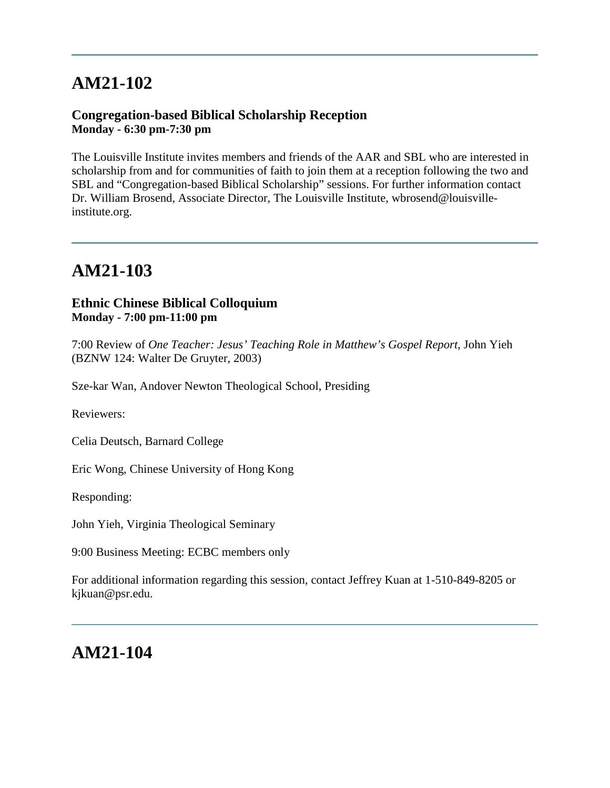# **AM21-102**

### **Congregation-based Biblical Scholarship Reception Monday - 6:30 pm-7:30 pm**

The Louisville Institute invites members and friends of the AAR and SBL who are interested in scholarship from and for communities of faith to join them at a reception following the two and SBL and "Congregation-based Biblical Scholarship" sessions. For further information contact Dr. William Brosend, Associate Director, The Louisville Institute, wbrosend@louisvilleinstitute.org.

# **AM21-103**

### **Ethnic Chinese Biblical Colloquium Monday - 7:00 pm-11:00 pm**

7:00 Review of *One Teacher: Jesus' Teaching Role in Matthew's Gospel Report*, John Yieh (BZNW 124: Walter De Gruyter, 2003)

Sze-kar Wan, Andover Newton Theological School, Presiding

Reviewers:

Celia Deutsch, Barnard College

Eric Wong, Chinese University of Hong Kong

Responding:

John Yieh, Virginia Theological Seminary

9:00 Business Meeting: ECBC members only

For additional information regarding this session, contact Jeffrey Kuan at 1-510-849-8205 or kjkuan@psr.edu.

# **AM21-104**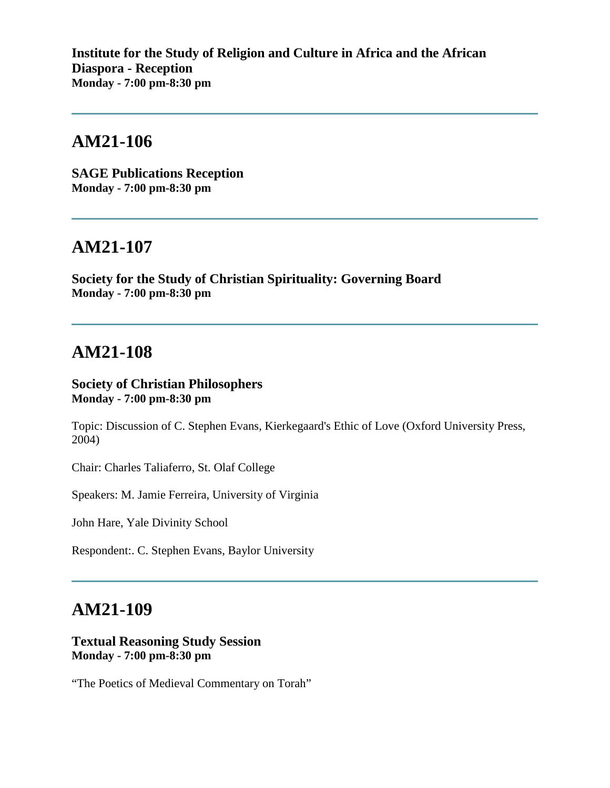**Institute for the Study of Religion and Culture in Africa and the African Diaspora - Reception Monday - 7:00 pm-8:30 pm**

## **AM21-106**

**SAGE Publications Reception Monday - 7:00 pm-8:30 pm**

### **AM21-107**

**Society for the Study of Christian Spirituality: Governing Board Monday - 7:00 pm-8:30 pm**

### **AM21-108**

#### **Society of Christian Philosophers Monday - 7:00 pm-8:30 pm**

Topic: Discussion of C. Stephen Evans, Kierkegaard's Ethic of Love (Oxford University Press, 2004)

Chair: Charles Taliaferro, St. Olaf College

Speakers: M. Jamie Ferreira, University of Virginia

John Hare, Yale Divinity School

Respondent:. C. Stephen Evans, Baylor University

## **AM21-109**

#### **Textual Reasoning Study Session Monday - 7:00 pm-8:30 pm**

"The Poetics of Medieval Commentary on Torah"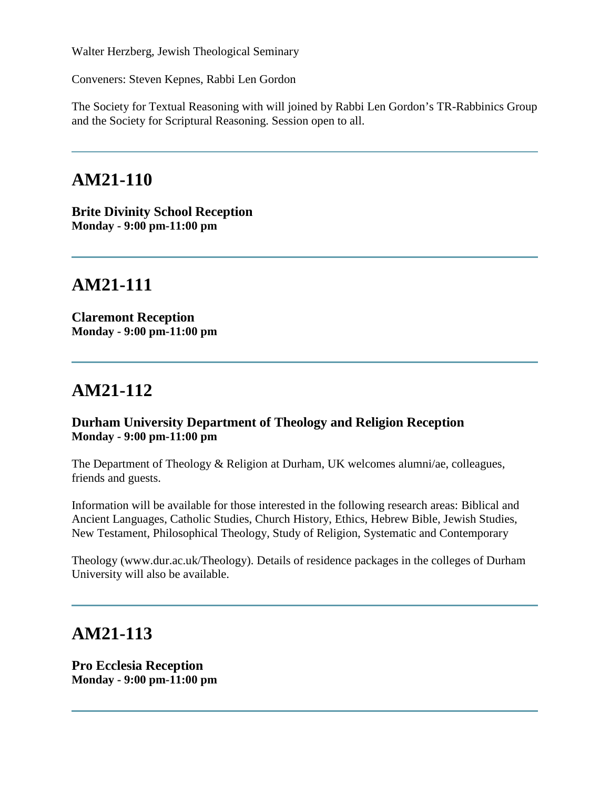Walter Herzberg, Jewish Theological Seminary

Conveners: Steven Kepnes, Rabbi Len Gordon

The Society for Textual Reasoning with will joined by Rabbi Len Gordon's TR-Rabbinics Group and the Society for Scriptural Reasoning. Session open to all.

### **AM21-110**

**Brite Divinity School Reception Monday - 9:00 pm-11:00 pm**

## **AM21-111**

**Claremont Reception Monday - 9:00 pm-11:00 pm**

## **AM21-112**

#### **Durham University Department of Theology and Religion Reception Monday - 9:00 pm-11:00 pm**

The Department of Theology & Religion at Durham, UK welcomes alumni/ae, colleagues, friends and guests.

Information will be available for those interested in the following research areas: Biblical and Ancient Languages, Catholic Studies, Church History, Ethics, Hebrew Bible, Jewish Studies, New Testament, Philosophical Theology, Study of Religion, Systematic and Contemporary

Theology (www.dur.ac.uk/Theology). Details of residence packages in the colleges of Durham University will also be available.

### **AM21-113**

**Pro Ecclesia Reception Monday - 9:00 pm-11:00 pm**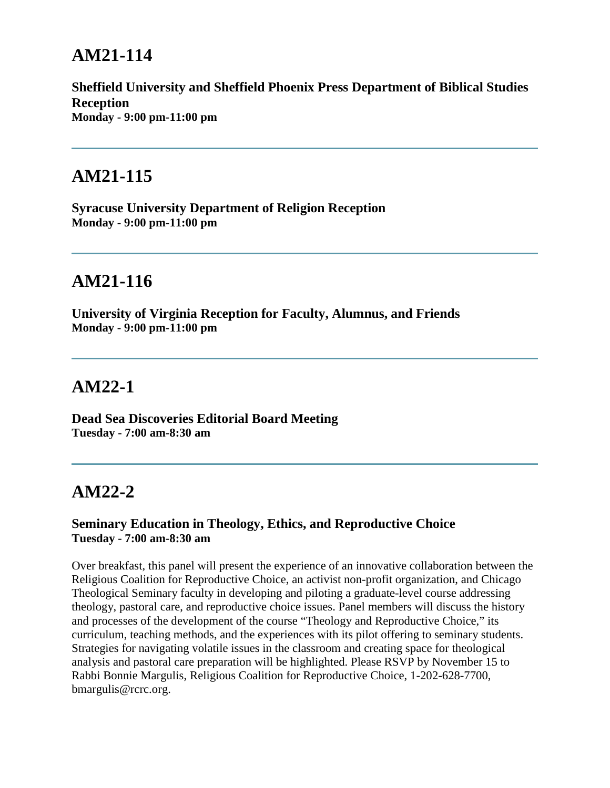## **AM21-114**

**Sheffield University and Sheffield Phoenix Press Department of Biblical Studies Reception Monday - 9:00 pm-11:00 pm**

### **AM21-115**

**Syracuse University Department of Religion Reception Monday - 9:00 pm-11:00 pm**

### **AM21-116**

**University of Virginia Reception for Faculty, Alumnus, and Friends Monday - 9:00 pm-11:00 pm**

### **AM22-1**

**Dead Sea Discoveries Editorial Board Meeting Tuesday - 7:00 am-8:30 am**

## **AM22-2**

#### **Seminary Education in Theology, Ethics, and Reproductive Choice Tuesday - 7:00 am-8:30 am**

Over breakfast, this panel will present the experience of an innovative collaboration between the Religious Coalition for Reproductive Choice, an activist non-profit organization, and Chicago Theological Seminary faculty in developing and piloting a graduate-level course addressing theology, pastoral care, and reproductive choice issues. Panel members will discuss the history and processes of the development of the course "Theology and Reproductive Choice," its curriculum, teaching methods, and the experiences with its pilot offering to seminary students. Strategies for navigating volatile issues in the classroom and creating space for theological analysis and pastoral care preparation will be highlighted. Please RSVP by November 15 to Rabbi Bonnie Margulis, Religious Coalition for Reproductive Choice, 1-202-628-7700, bmargulis@rcrc.org.